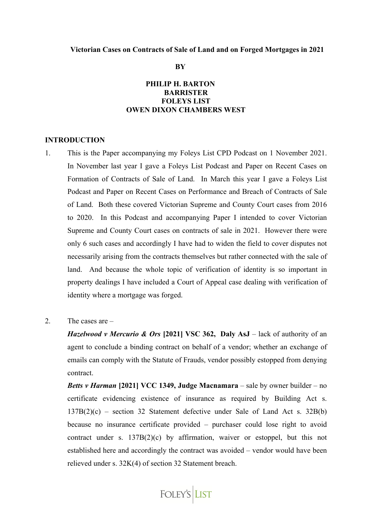#### **Victorian Cases on Contracts of Sale of Land and on Forged Mortgages in 2021**

**BY**

### **PHILIP H. BARTON BARRISTER FOLEYS LIST OWEN DIXON CHAMBERS WEST**

#### **INTRODUCTION**

- 1. This is the Paper accompanying my Foleys List CPD Podcast on 1 November 2021. In November last year I gave a Foleys List Podcast and Paper on Recent Cases on Formation of Contracts of Sale of Land. In March this year I gave a Foleys List Podcast and Paper on Recent Cases on Performance and Breach of Contracts of Sale of Land. Both these covered Victorian Supreme and County Court cases from 2016 to 2020. In this Podcast and accompanying Paper I intended to cover Victorian Supreme and County Court cases on contracts of sale in 2021. However there were only 6 such cases and accordingly I have had to widen the field to cover disputes not necessarily arising from the contracts themselves but rather connected with the sale of land. And because the whole topic of verification of identity is so important in property dealings I have included a Court of Appeal case dealing with verification of identity where a mortgage was forged.
- 2. The cases are –

*Hazelwood v Mercurio & Ors* **[2021] VSC 362, Daly AsJ** – lack of authority of an agent to conclude a binding contract on behalf of a vendor; whether an exchange of emails can comply with the Statute of Frauds, vendor possibly estopped from denying contract.

*Betts v Harman* **[2021] VCC 1349, Judge Macnamara** – sale by owner builder – no certificate evidencing existence of insurance as required by Building Act s.  $137B(2)(c)$  – section 32 Statement defective under Sale of Land Act s. 32B(b) because no insurance certificate provided – purchaser could lose right to avoid contract under s. 137B(2)(c) by affirmation, waiver or estoppel, but this not established here and accordingly the contract was avoided – vendor would have been relieved under s. 32K(4) of section 32 Statement breach.

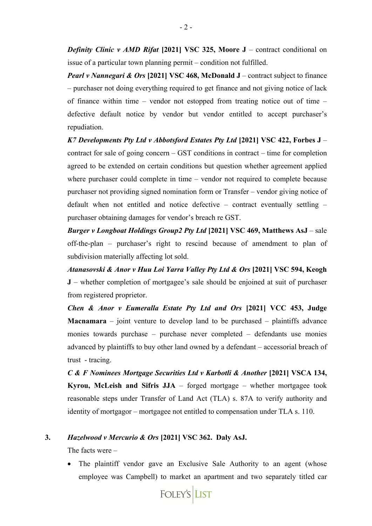*Definity Clinic v AMD Rifat* **[2021] VSC 325, Moore J** – contract conditional on issue of a particular town planning permit – condition not fulfilled.

*Pearl v Nannegari & Ors* **[2021] VSC 468, McDonald J** – contract subject to finance – purchaser not doing everything required to get finance and not giving notice of lack of finance within time – vendor not estopped from treating notice out of time – defective default notice by vendor but vendor entitled to accept purchaser's repudiation.

*K7 Developments Pty Ltd v Abbotsford Estates Pty Ltd* **[2021] VSC 422, Forbes J** – contract for sale of going concern – GST conditions in contract – time for completion agreed to be extended on certain conditions but question whether agreement applied where purchaser could complete in time – vendor not required to complete because purchaser not providing signed nomination form or Transfer – vendor giving notice of default when not entitled and notice defective – contract eventually settling – purchaser obtaining damages for vendor's breach re GST.

*Burger v Longboat Holdings Group2 Pty Ltd* **[2021] VSC 469, Matthews AsJ** – sale off-the-plan – purchaser's right to rescind because of amendment to plan of subdivision materially affecting lot sold.

*Atanasovski & Anor v Huu Loi Yarra Valley Pty Ltd & Ors* **[2021] VSC 594, Keogh J** – whether completion of mortgagee's sale should be enjoined at suit of purchaser from registered proprietor.

*Chen & Anor v Eumeralla Estate Pty Ltd and Ors* **[2021] VCC 453, Judge Macnamara** – joint venture to develop land to be purchased – plaintiffs advance monies towards purchase – purchase never completed – defendants use monies advanced by plaintiffs to buy other land owned by a defendant – accessorial breach of trust - tracing.

*C* & *F* Nominees Mortgage Securities Ltd v Karbotli & Another [2021] VSCA 134, **Kyrou, McLeish and Sifris JJA** – forged mortgage – whether mortgagee took reasonable steps under Transfer of Land Act (TLA) s. 87A to verify authority and identity of mortgagor – mortgagee not entitled to compensation under TLA s. 110.

#### **3.** *Hazelwood v Mercurio & Ors* **[2021] VSC 362. Daly AsJ.**

The facts were –

• The plaintiff vendor gave an Exclusive Sale Authority to an agent (whose employee was Campbell) to market an apartment and two separately titled car

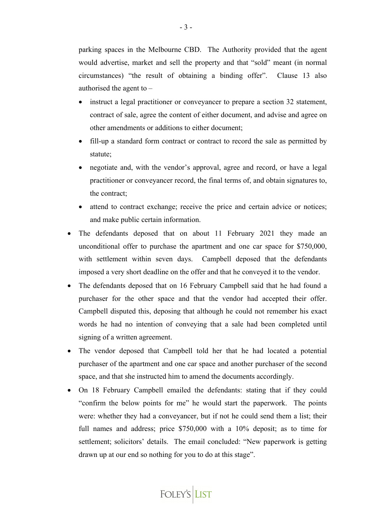parking spaces in the Melbourne CBD. The Authority provided that the agent would advertise, market and sell the property and that "sold" meant (in normal circumstances) "the result of obtaining a binding offer". Clause 13 also authorised the agent to –

- instruct a legal practitioner or conveyancer to prepare a section 32 statement, contract of sale, agree the content of either document, and advise and agree on other amendments or additions to either document;
- fill-up a standard form contract or contract to record the sale as permitted by statute;
- negotiate and, with the vendor's approval, agree and record, or have a legal practitioner or conveyancer record, the final terms of, and obtain signatures to, the contract;
- attend to contract exchange; receive the price and certain advice or notices; and make public certain information.
- The defendants deposed that on about 11 February 2021 they made an unconditional offer to purchase the apartment and one car space for \$750,000, with settlement within seven days. Campbell deposed that the defendants imposed a very short deadline on the offer and that he conveyed it to the vendor.
- The defendants deposed that on 16 February Campbell said that he had found a purchaser for the other space and that the vendor had accepted their offer. Campbell disputed this, deposing that although he could not remember his exact words he had no intention of conveying that a sale had been completed until signing of a written agreement.
- The vendor deposed that Campbell told her that he had located a potential purchaser of the apartment and one car space and another purchaser of the second space, and that she instructed him to amend the documents accordingly.
- On 18 February Campbell emailed the defendants: stating that if they could "confirm the below points for me" he would start the paperwork. The points were: whether they had a conveyancer, but if not he could send them a list; their full names and address; price \$750,000 with a 10% deposit; as to time for settlement; solicitors' details. The email concluded: "New paperwork is getting drawn up at our end so nothing for you to do at this stage".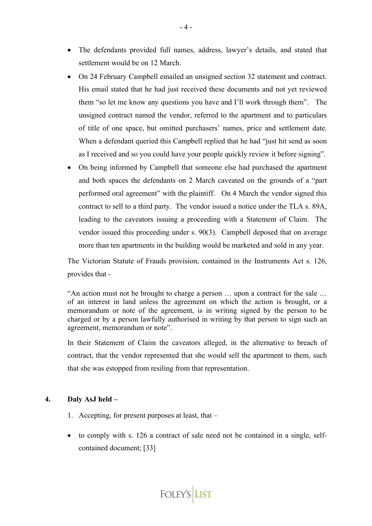- The defendants provided full names, address, lawyer's details, and stated that settlement would be on 12 March.
- On 24 February Campbell emailed an unsigned section 32 statement and contract. His email stated that he had just received these documents and not yet reviewed them "so let me know any questions you have and I'll work through them". The unsigned contract named the vendor, referred to the apartment and to particulars of title of one space, but omitted purchasers' names, price and settlement date. When a defendant queried this Campbell replied that he had "just hit send as soon as I received and so you could have your people quickly review it before signing".
- On being informed by Campbell that someone else had purchased the apartment and both spaces the defendants on 2 March caveated on the grounds of a "part performed oral agreement" with the plaintiff. On 4 March the vendor signed this contract to sell to a third party. The vendor issued a notice under the TLA s. 89A, leading to the caveators issuing a proceeding with a Statement of Claim. The vendor issued this proceeding under s. 90(3). Campbell deposed that on average more than ten apartments in the building would be marketed and sold in any year.

The Victorian Statute of Frauds provision, contained in the Instruments Act s. 126, provides that -

"An action must not be brought to charge a person … upon a contract for the sale … of an interest in land unless the agreement on which the action is brought, or a memorandum or note of the agreement, is in writing signed by the person to be charged or by a person lawfully authorised in writing by that person to sign such an agreement, memorandum or note".

In their Statement of Claim the caveators alleged, in the alternative to breach of contract, that the vendor represented that she would sell the apartment to them, such that she was estopped from resiling from that representation.

#### **4. Daly AsJ held –**

- 1. Accepting, for present purposes at least, that –
- to comply with s. 126 a contract of sale need not be contained in a single, selfcontained document; [33]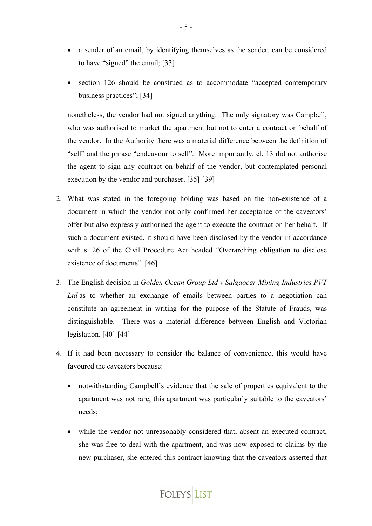- a sender of an email, by identifying themselves as the sender, can be considered to have "signed" the email; [33]
- section 126 should be construed as to accommodate "accepted contemporary business practices"; [34]

nonetheless, the vendor had not signed anything. The only signatory was Campbell, who was authorised to market the apartment but not to enter a contract on behalf of the vendor. In the Authority there was a material difference between the definition of "sell" and the phrase "endeavour to sell". More importantly, cl. 13 did not authorise the agent to sign any contract on behalf of the vendor, but contemplated personal execution by the vendor and purchaser. [35]-[39]

- 2. What was stated in the foregoing holding was based on the non-existence of a document in which the vendor not only confirmed her acceptance of the caveators' offer but also expressly authorised the agent to execute the contract on her behalf. If such a document existed, it should have been disclosed by the vendor in accordance with s. 26 of the Civil Procedure Act headed "Overarching obligation to disclose existence of documents". [46]
- 3. The English decision in *Golden Ocean Group Ltd v Salgaocar Mining Industries PVT Ltd* as to whether an exchange of emails between parties to a negotiation can constitute an agreement in writing for the purpose of the Statute of Frauds, was distinguishable. There was a material difference between English and Victorian legislation. [40]-[44]
- 4. If it had been necessary to consider the balance of convenience, this would have favoured the caveators because:
	- notwithstanding Campbell's evidence that the sale of properties equivalent to the apartment was not rare, this apartment was particularly suitable to the caveators' needs;
	- while the vendor not unreasonably considered that, absent an executed contract, she was free to deal with the apartment, and was now exposed to claims by the new purchaser, she entered this contract knowing that the caveators asserted that

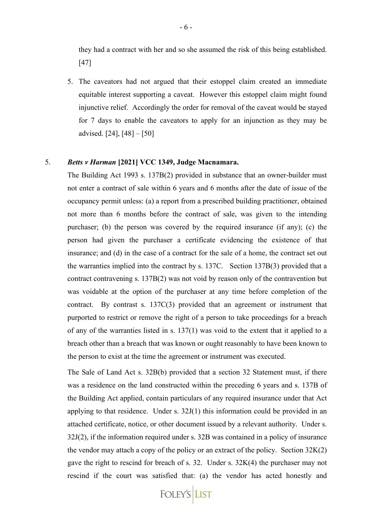they had a contract with her and so she assumed the risk of this being established. [47]

5. The caveators had not argued that their estoppel claim created an immediate equitable interest supporting a caveat. However this estoppel claim might found injunctive relief. Accordingly the order for removal of the caveat would be stayed for 7 days to enable the caveators to apply for an injunction as they may be advised. [24], [48] – [50]

### 5. *Betts v Harman* **[2021] VCC 1349, Judge Macnamara.**

The Building Act 1993 s. 137B(2) provided in substance that an owner-builder must not enter a contract of sale within 6 years and 6 months after the date of issue of the occupancy permit unless: (a) a report from a prescribed building practitioner, obtained not more than 6 months before the contract of sale, was given to the intending purchaser; (b) the person was covered by the required insurance (if any); (c) the person had given the purchaser a certificate evidencing the existence of that insurance; and (d) in the case of a contract for the sale of a home, the contract set out the warranties implied into the contract by s. 137C. Section 137B(3) provided that a contract contravening s. 137B(2) was not void by reason only of the contravention but was voidable at the option of the purchaser at any time before completion of the contract. By contrast s. 137C(3) provided that an agreement or instrument that purported to restrict or remove the right of a person to take proceedings for a breach of any of the warranties listed in s. 137(1) was void to the extent that it applied to a breach other than a breach that was known or ought reasonably to have been known to the person to exist at the time the agreement or instrument was executed.

The Sale of Land Act s. 32B(b) provided that a section 32 Statement must, if there was a residence on the land constructed within the preceding 6 years and s. 137B of the Building Act applied, contain particulars of any required insurance under that Act applying to that residence. Under s. 32J(1) this information could be provided in an attached certificate, notice, or other document issued by a relevant authority. Under s. 32J(2), if the information required under s. 32B was contained in a policy of insurance the vendor may attach a copy of the policy or an extract of the policy. Section 32K(2) gave the right to rescind for breach of s. 32. Under s. 32K(4) the purchaser may not rescind if the court was satisfied that: (a) the vendor has acted honestly and

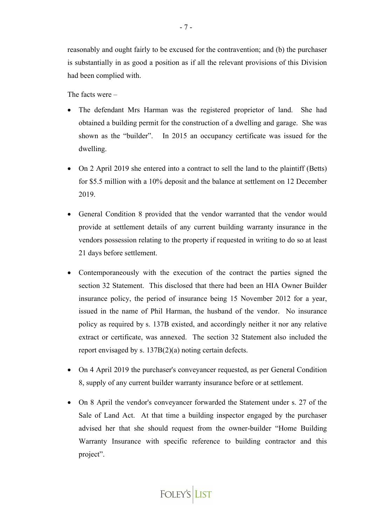reasonably and ought fairly to be excused for the contravention; and (b) the purchaser is substantially in as good a position as if all the relevant provisions of this Division had been complied with.

The facts were –

- The defendant Mrs Harman was the registered proprietor of land. She had obtained a building permit for the construction of a dwelling and garage. She was shown as the "builder". In 2015 an occupancy certificate was issued for the dwelling.
- On 2 April 2019 she entered into a contract to sell the land to the plaintiff (Betts) for \$5.5 million with a 10% deposit and the balance at settlement on 12 December 2019.
- General Condition 8 provided that the vendor warranted that the vendor would provide at settlement details of any current building warranty insurance in the vendors possession relating to the property if requested in writing to do so at least 21 days before settlement.
- Contemporaneously with the execution of the contract the parties signed the section 32 Statement. This disclosed that there had been an HIA Owner Builder insurance policy, the period of insurance being 15 November 2012 for a year, issued in the name of Phil Harman, the husband of the vendor. No insurance policy as required by s. 137B existed, and accordingly neither it nor any relative extract or certificate, was annexed. The section 32 Statement also included the report envisaged by s. 137B(2)(a) noting certain defects.
- On 4 April 2019 the purchaser's conveyancer requested, as per General Condition 8, supply of any current builder warranty insurance before or at settlement.
- On 8 April the vendor's conveyancer forwarded the Statement under s. 27 of the Sale of Land Act. At that time a building inspector engaged by the purchaser advised her that she should request from the owner-builder "Home Building Warranty Insurance with specific reference to building contractor and this project".

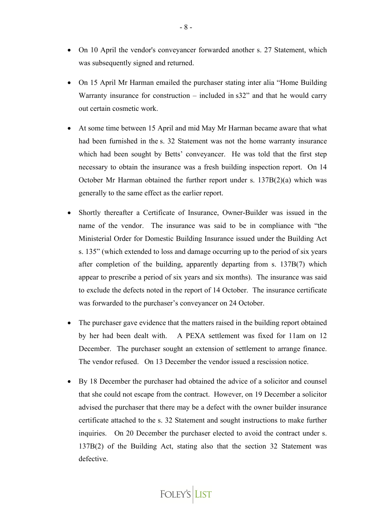- On 10 April the vendor's conveyancer forwarded another s. 27 Statement, which was subsequently signed and returned.
- On 15 April Mr Harman emailed the purchaser stating inter alia "Home Building Warranty insurance for construction – included in  $s32$ " and that he would carry out certain cosmetic work.
- At some time between 15 April and mid May Mr Harman became aware that what had been furnished in the s. 32 Statement was not the home warranty insurance which had been sought by Betts' conveyancer. He was told that the first step necessary to obtain the insurance was a fresh building inspection report. On 14 October Mr Harman obtained the further report under s. 137B(2)(a) which was generally to the same effect as the earlier report.
- Shortly thereafter a Certificate of Insurance, Owner-Builder was issued in the name of the vendor. The insurance was said to be in compliance with "the Ministerial Order for Domestic Building Insurance issued under the Building Act s. 135" (which extended to loss and damage occurring up to the period of six years after completion of the building, apparently departing from s. 137B(7) which appear to prescribe a period of six years and six months). The insurance was said to exclude the defects noted in the report of 14 October. The insurance certificate was forwarded to the purchaser's conveyancer on 24 October.
- The purchaser gave evidence that the matters raised in the building report obtained by her had been dealt with. A PEXA settlement was fixed for 11am on 12 December. The purchaser sought an extension of settlement to arrange finance. The vendor refused. On 13 December the vendor issued a rescission notice.
- By 18 December the purchaser had obtained the advice of a solicitor and counsel that she could not escape from the contract. However, on 19 December a solicitor advised the purchaser that there may be a defect with the owner builder insurance certificate attached to the s. 32 Statement and sought instructions to make further inquiries. On 20 December the purchaser elected to avoid the contract under s. 137B(2) of the Building Act, stating also that the section 32 Statement was defective.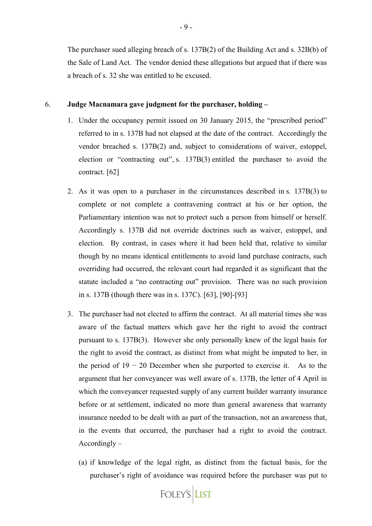The purchaser sued alleging breach of s. 137B(2) of the Building Act and s. 32B(b) of the Sale of Land Act. The vendor denied these allegations but argued that if there was a breach of s. 32 she was entitled to be excused.

#### 6. **Judge Macnamara gave judgment for the purchaser, holding –**

- 1. Under the occupancy permit issued on 30 January 2015, the "prescribed period" referred to in s. 137B had not elapsed at the date of the contract. Accordingly the vendor breached s. 137B(2) and, subject to considerations of waiver, estoppel, election or "contracting out", s. 137B(3) entitled the purchaser to avoid the contract. [62]
- 2. As it was open to a purchaser in the circumstances described in s. 137B(3) to complete or not complete a contravening contract at his or her option, the Parliamentary intention was not to protect such a person from himself or herself. Accordingly s. 137B did not override doctrines such as waiver, estoppel, and election. By contrast, in cases where it had been held that, relative to similar though by no means identical entitlements to avoid land purchase contracts, such overriding had occurred, the relevant court had regarded it as significant that the statute included a "no contracting out" provision. There was no such provision in s. 137B (though there was in s. 137C). [63], [90]-[93]
- 3. The purchaser had not elected to affirm the contract. At all material times she was aware of the factual matters which gave her the right to avoid the contract pursuant to s. 137B(3). However she only personally knew of the legal basis for the right to avoid the contract, as distinct from what might be imputed to her, in the period of  $19 - 20$  December when she purported to exercise it. As to the argument that her conveyancer was well aware of s. 137B, the letter of 4 April in which the conveyancer requested supply of any current builder warranty insurance before or at settlement, indicated no more than general awareness that warranty insurance needed to be dealt with as part of the transaction, not an awareness that, in the events that occurred, the purchaser had a right to avoid the contract.  $Accordingly -$ 
	- (a) if knowledge of the legal right, as distinct from the factual basis, for the purchaser's right of avoidance was required before the purchaser was put to

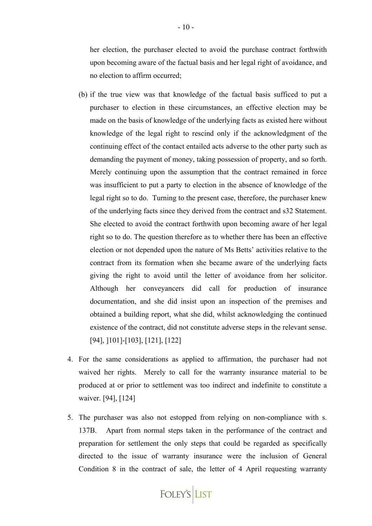her election, the purchaser elected to avoid the purchase contract forthwith upon becoming aware of the factual basis and her legal right of avoidance, and no election to affirm occurred;

- (b) if the true view was that knowledge of the factual basis sufficed to put a purchaser to election in these circumstances, an effective election may be made on the basis of knowledge of the underlying facts as existed here without knowledge of the legal right to rescind only if the acknowledgment of the continuing effect of the contact entailed acts adverse to the other party such as demanding the payment of money, taking possession of property, and so forth. Merely continuing upon the assumption that the contract remained in force was insufficient to put a party to election in the absence of knowledge of the legal right so to do. Turning to the present case, therefore, the purchaser knew of the underlying facts since they derived from the contract and s32 Statement. She elected to avoid the contract forthwith upon becoming aware of her legal right so to do. The question therefore as to whether there has been an effective election or not depended upon the nature of Ms Betts' activities relative to the contract from its formation when she became aware of the underlying facts giving the right to avoid until the letter of avoidance from her solicitor. Although her conveyancers did call for production of insurance documentation, and she did insist upon an inspection of the premises and obtained a building report, what she did, whilst acknowledging the continued existence of the contract, did not constitute adverse steps in the relevant sense. [94], ]101]-[103], [121], [122]
- 4. For the same considerations as applied to affirmation, the purchaser had not waived her rights. Merely to call for the warranty insurance material to be produced at or prior to settlement was too indirect and indefinite to constitute a waiver. [94], [124]
- 5. The purchaser was also not estopped from relying on non-compliance with s. 137B. Apart from normal steps taken in the performance of the contract and preparation for settlement the only steps that could be regarded as specifically directed to the issue of warranty insurance were the inclusion of General Condition 8 in the contract of sale, the letter of 4 April requesting warranty

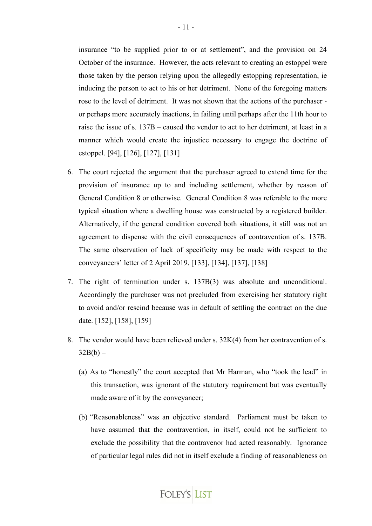insurance "to be supplied prior to or at settlement", and the provision on 24 October of the insurance. However, the acts relevant to creating an estoppel were those taken by the person relying upon the allegedly estopping representation, ie inducing the person to act to his or her detriment. None of the foregoing matters rose to the level of detriment. It was not shown that the actions of the purchaser or perhaps more accurately inactions, in failing until perhaps after the 11th hour to raise the issue of s. 137B – caused the vendor to act to her detriment, at least in a manner which would create the injustice necessary to engage the doctrine of estoppel. [94], [126], [127], [131]

- 6. The court rejected the argument that the purchaser agreed to extend time for the provision of insurance up to and including settlement, whether by reason of General Condition 8 or otherwise. General Condition 8 was referable to the more typical situation where a dwelling house was constructed by a registered builder. Alternatively, if the general condition covered both situations, it still was not an agreement to dispense with the civil consequences of contravention of s. 137B. The same observation of lack of specificity may be made with respect to the conveyancers' letter of 2 April 2019. [133], [134], [137], [138]
- 7. The right of termination under s. 137B(3) was absolute and unconditional. Accordingly the purchaser was not precluded from exercising her statutory right to avoid and/or rescind because was in default of settling the contract on the due date. [152], [158], [159]
- 8. The vendor would have been relieved under s. 32K(4) from her contravention of s.  $32B(b) -$ 
	- (a) As to "honestly" the court accepted that Mr Harman, who "took the lead" in this transaction, was ignorant of the statutory requirement but was eventually made aware of it by the conveyancer;
	- (b) "Reasonableness" was an objective standard. Parliament must be taken to have assumed that the contravention, in itself, could not be sufficient to exclude the possibility that the contravenor had acted reasonably. Ignorance of particular legal rules did not in itself exclude a finding of reasonableness on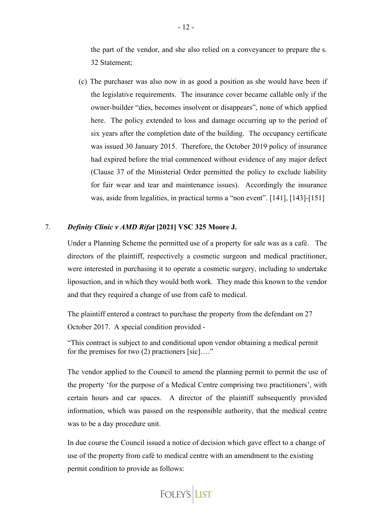the part of the vendor, and she also relied on a conveyancer to prepare the s. 32 Statement;

(c) The purchaser was also now in as good a position as she would have been if the legislative requirements. The insurance cover became callable only if the owner-builder "dies, becomes insolvent or disappears", none of which applied here. The policy extended to loss and damage occurring up to the period of six years after the completion date of the building. The occupancy certificate was issued 30 January 2015. Therefore, the October 2019 policy of insurance had expired before the trial commenced without evidence of any major defect (Clause 37 of the Ministerial Order permitted the policy to exclude liability for fair wear and tear and maintenance issues). Accordingly the insurance was, aside from legalities, in practical terms a "non event". [141], [143]-[151]

#### 7. *Definity Clinic v AMD Rifat* **[2021] VSC 325 Moore J.**

Under a Planning Scheme the permitted use of a property for sale was as a café. The directors of the plaintiff, respectively a cosmetic surgeon and medical practitioner, were interested in purchasing it to operate a cosmetic surgery, including to undertake liposuction, and in which they would both work. They made this known to the vendor and that they required a change of use from café to medical.

The plaintiff entered a contract to purchase the property from the defendant on 27 October 2017. A special condition provided -

"This contract is subject to and conditional upon vendor obtaining a medical permit for the premises for two (2) practioners [sic]…."

The vendor applied to the Council to amend the planning permit to permit the use of the property 'for the purpose of a Medical Centre comprising two practitioners', with certain hours and car spaces. A director of the plaintiff subsequently provided information, which was passed on the responsible authority, that the medical centre was to be a day procedure unit.

In due course the Council issued a notice of decision which gave effect to a change of use of the property from café to medical centre with an amendment to the existing permit condition to provide as follows:

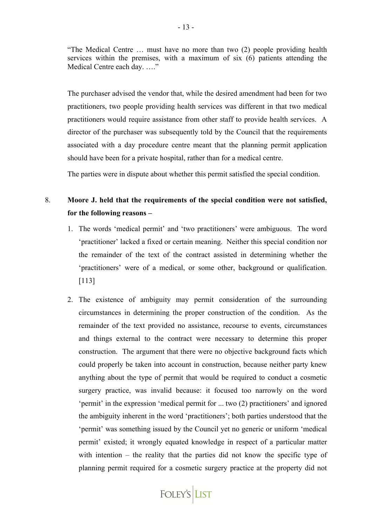"The Medical Centre … must have no more than two (2) people providing health services within the premises, with a maximum of six (6) patients attending the Medical Centre each day. …."

The purchaser advised the vendor that, while the desired amendment had been for two practitioners, two people providing health services was different in that two medical practitioners would require assistance from other staff to provide health services. A director of the purchaser was subsequently told by the Council that the requirements associated with a day procedure centre meant that the planning permit application should have been for a private hospital, rather than for a medical centre.

The parties were in dispute about whether this permit satisfied the special condition.

# 8. **Moore J. held that the requirements of the special condition were not satisfied, for the following reasons –**

- 1. The words 'medical permit' and 'two practitioners' were ambiguous. The word 'practitioner' lacked a fixed or certain meaning. Neither this special condition nor the remainder of the text of the contract assisted in determining whether the 'practitioners' were of a medical, or some other, background or qualification. [113]
- 2. The existence of ambiguity may permit consideration of the surrounding circumstances in determining the proper construction of the condition. As the remainder of the text provided no assistance, recourse to events, circumstances and things external to the contract were necessary to determine this proper construction. The argument that there were no objective background facts which could properly be taken into account in construction, because neither party knew anything about the type of permit that would be required to conduct a cosmetic surgery practice, was invalid because: it focused too narrowly on the word 'permit' in the expression 'medical permit for ... two (2) practitioners' and ignored the ambiguity inherent in the word 'practitioners'; both parties understood that the 'permit' was something issued by the Council yet no generic or uniform 'medical permit' existed; it wrongly equated knowledge in respect of a particular matter with intention – the reality that the parties did not know the specific type of planning permit required for a cosmetic surgery practice at the property did not

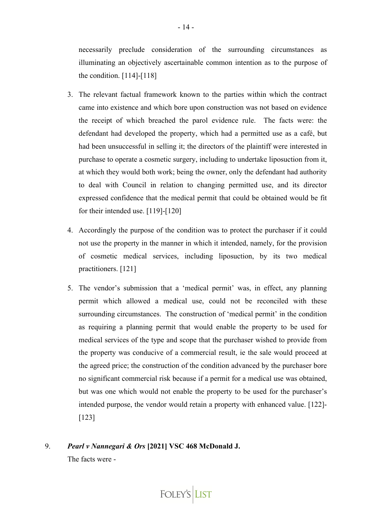necessarily preclude consideration of the surrounding circumstances as illuminating an objectively ascertainable common intention as to the purpose of the condition. [114]-[118]

- 3. The relevant factual framework known to the parties within which the contract came into existence and which bore upon construction was not based on evidence the receipt of which breached the parol evidence rule. The facts were: the defendant had developed the property, which had a permitted use as a café, but had been unsuccessful in selling it; the directors of the plaintiff were interested in purchase to operate a cosmetic surgery, including to undertake liposuction from it, at which they would both work; being the owner, only the defendant had authority to deal with Council in relation to changing permitted use, and its director expressed confidence that the medical permit that could be obtained would be fit for their intended use. [119]-[120]
- 4. Accordingly the purpose of the condition was to protect the purchaser if it could not use the property in the manner in which it intended, namely, for the provision of cosmetic medical services, including liposuction, by its two medical practitioners. [121]
- 5. The vendor's submission that a 'medical permit' was, in effect, any planning permit which allowed a medical use, could not be reconciled with these surrounding circumstances. The construction of 'medical permit' in the condition as requiring a planning permit that would enable the property to be used for medical services of the type and scope that the purchaser wished to provide from the property was conducive of a commercial result, ie the sale would proceed at the agreed price; the construction of the condition advanced by the purchaser bore no significant commercial risk because if a permit for a medical use was obtained, but was one which would not enable the property to be used for the purchaser's intended purpose, the vendor would retain a property with enhanced value. [122]- [123]
- 9. *Pearl v Nannegari & Ors* **[2021] VSC 468 McDonald J.**  The facts were -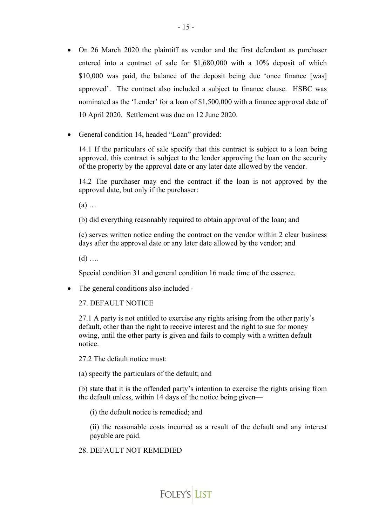- On 26 March 2020 the plaintiff as vendor and the first defendant as purchaser entered into a contract of sale for \$1,680,000 with a 10% deposit of which \$10,000 was paid, the balance of the deposit being due 'once finance [was] approved'. The contract also included a subject to finance clause. HSBC was nominated as the 'Lender' for a loan of \$1,500,000 with a finance approval date of 10 April 2020. Settlement was due on 12 June 2020.
- General condition 14, headed "Loan" provided:

14.1 If the particulars of sale specify that this contract is subject to a loan being approved, this contract is subject to the lender approving the loan on the security of the property by the approval date or any later date allowed by the vendor.

14.2 The purchaser may end the contract if the loan is not approved by the approval date, but only if the purchaser:

(a) …

(b) did everything reasonably required to obtain approval of the loan; and

(c) serves written notice ending the contract on the vendor within 2 clear business days after the approval date or any later date allowed by the vendor; and

 $(d)$  ....

Special condition 31 and general condition 16 made time of the essence.

• The general conditions also included -

27. DEFAULT NOTICE

27.1 A party is not entitled to exercise any rights arising from the other party's default, other than the right to receive interest and the right to sue for money owing, until the other party is given and fails to comply with a written default notice.

27.2 The default notice must:

(a) specify the particulars of the default; and

(b) state that it is the offended party's intention to exercise the rights arising from the default unless, within 14 days of the notice being given—

(i) the default notice is remedied; and

(ii) the reasonable costs incurred as a result of the default and any interest payable are paid.

#### 28. DEFAULT NOT REMEDIED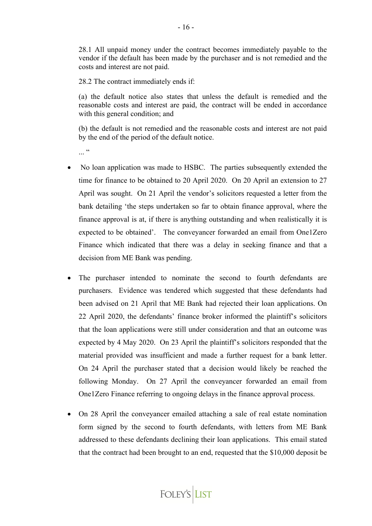28.1 All unpaid money under the contract becomes immediately payable to the vendor if the default has been made by the purchaser and is not remedied and the costs and interest are not paid.

28.2 The contract immediately ends if:

(a) the default notice also states that unless the default is remedied and the reasonable costs and interest are paid, the contract will be ended in accordance with this general condition; and

(b) the default is not remedied and the reasonable costs and interest are not paid by the end of the period of the default notice.

...<sup>"</sup>

- No loan application was made to HSBC. The parties subsequently extended the time for finance to be obtained to 20 April 2020. On 20 April an extension to 27 April was sought. On 21 April the vendor's solicitors requested a letter from the bank detailing 'the steps undertaken so far to obtain finance approval, where the finance approval is at, if there is anything outstanding and when realistically it is expected to be obtained'. The conveyancer forwarded an email from One1Zero Finance which indicated that there was a delay in seeking finance and that a decision from ME Bank was pending.
- The purchaser intended to nominate the second to fourth defendants are purchasers. Evidence was tendered which suggested that these defendants had been advised on 21 April that ME Bank had rejected their loan applications. On 22 April 2020, the defendants' finance broker informed the plaintiff's solicitors that the loan applications were still under consideration and that an outcome was expected by 4 May 2020. On 23 April the plaintiff's solicitors responded that the material provided was insufficient and made a further request for a bank letter. On 24 April the purchaser stated that a decision would likely be reached the following Monday. On 27 April the conveyancer forwarded an email from One1Zero Finance referring to ongoing delays in the finance approval process.
- On 28 April the conveyancer emailed attaching a sale of real estate nomination form signed by the second to fourth defendants, with letters from ME Bank addressed to these defendants declining their loan applications. This email stated that the contract had been brought to an end, requested that the \$10,000 deposit be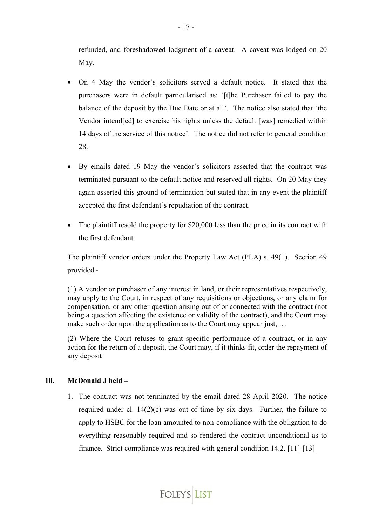refunded, and foreshadowed lodgment of a caveat. A caveat was lodged on 20 May.

- On 4 May the vendor's solicitors served a default notice. It stated that the purchasers were in default particularised as: '[t]he Purchaser failed to pay the balance of the deposit by the Due Date or at all'. The notice also stated that 'the Vendor intend[ed] to exercise his rights unless the default [was] remedied within 14 days of the service of this notice'. The notice did not refer to general condition 28.
- By emails dated 19 May the vendor's solicitors asserted that the contract was terminated pursuant to the default notice and reserved all rights. On 20 May they again asserted this ground of termination but stated that in any event the plaintiff accepted the first defendant's repudiation of the contract.
- The plaintiff resold the property for \$20,000 less than the price in its contract with the first defendant.

The plaintiff vendor orders under the Property Law Act (PLA) s. 49(1). Section 49 provided -

(1) A vendor or purchaser of any interest in land, or their representatives respectively, may apply to the Court, in respect of any requisitions or objections, or any claim for compensation, or any other question arising out of or connected with the contract (not being a question affecting the existence or validity of the contract), and the Court may make such order upon the application as to the Court may appear just, ...

(2) Where the Court refuses to grant specific performance of a contract, or in any action for the return of a deposit, the Court may, if it thinks fit, order the repayment of any deposit

## **10. McDonald J held –**

1. The contract was not terminated by the email dated 28 April 2020. The notice required under cl.  $14(2)(c)$  was out of time by six days. Further, the failure to apply to HSBC for the loan amounted to non-compliance with the obligation to do everything reasonably required and so rendered the contract unconditional as to finance. Strict compliance was required with general condition 14.2. [11]-[13]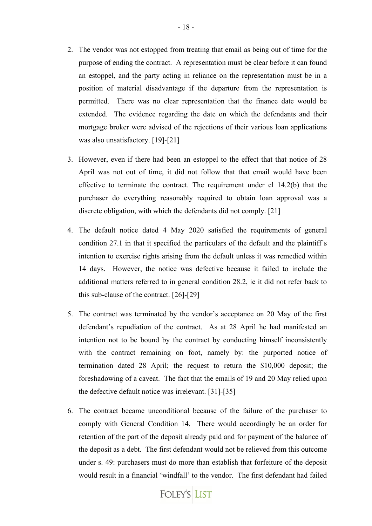- 2. The vendor was not estopped from treating that email as being out of time for the purpose of ending the contract. A representation must be clear before it can found an estoppel, and the party acting in reliance on the representation must be in a position of material disadvantage if the departure from the representation is permitted. There was no clear representation that the finance date would be extended. The evidence regarding the date on which the defendants and their mortgage broker were advised of the rejections of their various loan applications was also unsatisfactory. [19]-[21]
- 3. However, even if there had been an estoppel to the effect that that notice of 28 April was not out of time, it did not follow that that email would have been effective to terminate the contract. The requirement under cl 14.2(b) that the purchaser do everything reasonably required to obtain loan approval was a discrete obligation, with which the defendants did not comply. [21]
- 4. The default notice dated 4 May 2020 satisfied the requirements of general condition 27.1 in that it specified the particulars of the default and the plaintiff's intention to exercise rights arising from the default unless it was remedied within 14 days. However, the notice was defective because it failed to include the additional matters referred to in general condition 28.2, ie it did not refer back to this sub-clause of the contract. [26]-[29]
- 5. The contract was terminated by the vendor's acceptance on 20 May of the first defendant's repudiation of the contract. As at 28 April he had manifested an intention not to be bound by the contract by conducting himself inconsistently with the contract remaining on foot, namely by: the purported notice of termination dated 28 April; the request to return the \$10,000 deposit; the foreshadowing of a caveat. The fact that the emails of 19 and 20 May relied upon the defective default notice was irrelevant. [31]-[35]
- 6. The contract became unconditional because of the failure of the purchaser to comply with General Condition 14. There would accordingly be an order for retention of the part of the deposit already paid and for payment of the balance of the deposit as a debt. The first defendant would not be relieved from this outcome under s. 49: purchasers must do more than establish that forfeiture of the deposit would result in a financial 'windfall' to the vendor. The first defendant had failed

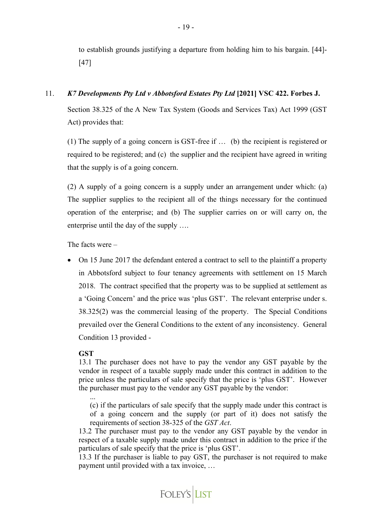to establish grounds justifying a departure from holding him to his bargain. [44]- [47]

# 11. *K7 Developments Pty Ltd v Abbotsford Estates Pty Ltd* **[2021] VSC 422. Forbes J.**

Section 38.325 of the A New Tax System (Goods and Services Tax) Act 1999 (GST Act) provides that:

(1) The supply of a going concern is GST-free if … (b) the recipient is registered or required to be registered; and (c) the supplier and the recipient have agreed in writing that the supply is of a going concern.

(2) A supply of a going concern is a supply under an arrangement under which: (a) The supplier supplies to the recipient all of the things necessary for the continued operation of the enterprise; and (b) The supplier carries on or will carry on, the enterprise until the day of the supply ….

The facts were –

• On 15 June 2017 the defendant entered a contract to sell to the plaintiff a property in Abbotsford subject to four tenancy agreements with settlement on 15 March 2018. The contract specified that the property was to be supplied at settlement as a 'Going Concern' and the price was 'plus GST'. The relevant enterprise under s. 38.325(2) was the commercial leasing of the property. The Special Conditions prevailed over the General Conditions to the extent of any inconsistency. General Condition 13 provided -

## **GST**

13.1 The purchaser does not have to pay the vendor any GST payable by the vendor in respect of a taxable supply made under this contract in addition to the price unless the particulars of sale specify that the price is 'plus GST'. However the purchaser must pay to the vendor any GST payable by the vendor:

...

(c) if the particulars of sale specify that the supply made under this contract is of a going concern and the supply (or part of it) does not satisfy the requirements of section 38-325 of the *GST Act*.

13.2 The purchaser must pay to the vendor any GST payable by the vendor in respect of a taxable supply made under this contract in addition to the price if the particulars of sale specify that the price is 'plus GST'.

13.3 If the purchaser is liable to pay GST, the purchaser is not required to make payment until provided with a tax invoice, …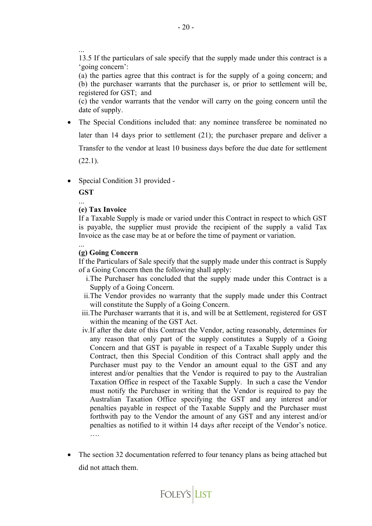...

13.5 If the particulars of sale specify that the supply made under this contract is a 'going concern':

(a) the parties agree that this contract is for the supply of a going concern; and (b) the purchaser warrants that the purchaser is, or prior to settlement will be, registered for GST; and

(c) the vendor warrants that the vendor will carry on the going concern until the date of supply.

- The Special Conditions included that: any nominee transferee be nominated no later than 14 days prior to settlement (21); the purchaser prepare and deliver a Transfer to the vendor at least 10 business days before the due date for settlement  $(22.1).$
- Special Condition 31 provided -

**GST**

...

## **(e) Tax Invoice**

If a Taxable Supply is made or varied under this Contract in respect to which GST is payable, the supplier must provide the recipient of the supply a valid Tax Invoice as the case may be at or before the time of payment or variation.

... **(g) Going Concern**

If the Particulars of Sale specify that the supply made under this contract is Supply of a Going Concern then the following shall apply:

- i.The Purchaser has concluded that the supply made under this Contract is a Supply of a Going Concern.
- ii.The Vendor provides no warranty that the supply made under this Contract will constitute the Supply of a Going Concern.
- iii.The Purchaser warrants that it is, and will be at Settlement, registered for GST within the meaning of the GST Act.
- iv.If after the date of this Contract the Vendor, acting reasonably, determines for any reason that only part of the supply constitutes a Supply of a Going Concern and that GST is payable in respect of a Taxable Supply under this Contract, then this Special Condition of this Contract shall apply and the Purchaser must pay to the Vendor an amount equal to the GST and any interest and/or penalties that the Vendor is required to pay to the Australian Taxation Office in respect of the Taxable Supply. In such a case the Vendor must notify the Purchaser in writing that the Vendor is required to pay the Australian Taxation Office specifying the GST and any interest and/or penalties payable in respect of the Taxable Supply and the Purchaser must forthwith pay to the Vendor the amount of any GST and any interest and/or penalties as notified to it within 14 days after receipt of the Vendor's notice. ….
- The section 32 documentation referred to four tenancy plans as being attached but did not attach them.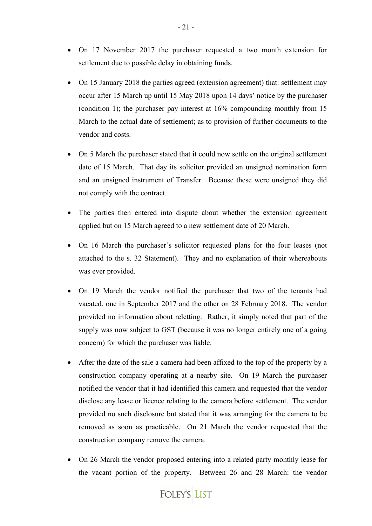- On 17 November 2017 the purchaser requested a two month extension for settlement due to possible delay in obtaining funds.
- On 15 January 2018 the parties agreed (extension agreement) that: settlement may occur after 15 March up until 15 May 2018 upon 14 days' notice by the purchaser (condition 1); the purchaser pay interest at 16% compounding monthly from 15 March to the actual date of settlement; as to provision of further documents to the vendor and costs.
- On 5 March the purchaser stated that it could now settle on the original settlement date of 15 March. That day its solicitor provided an unsigned nomination form and an unsigned instrument of Transfer. Because these were unsigned they did not comply with the contract.
- The parties then entered into dispute about whether the extension agreement applied but on 15 March agreed to a new settlement date of 20 March.
- On 16 March the purchaser's solicitor requested plans for the four leases (not attached to the s. 32 Statement). They and no explanation of their whereabouts was ever provided.
- On 19 March the vendor notified the purchaser that two of the tenants had vacated, one in September 2017 and the other on 28 February 2018. The vendor provided no information about reletting. Rather, it simply noted that part of the supply was now subject to GST (because it was no longer entirely one of a going concern) for which the purchaser was liable.
- After the date of the sale a camera had been affixed to the top of the property by a construction company operating at a nearby site. On 19 March the purchaser notified the vendor that it had identified this camera and requested that the vendor disclose any lease or licence relating to the camera before settlement. The vendor provided no such disclosure but stated that it was arranging for the camera to be removed as soon as practicable. On 21 March the vendor requested that the construction company remove the camera.
- On 26 March the vendor proposed entering into a related party monthly lease for the vacant portion of the property. Between 26 and 28 March: the vendor

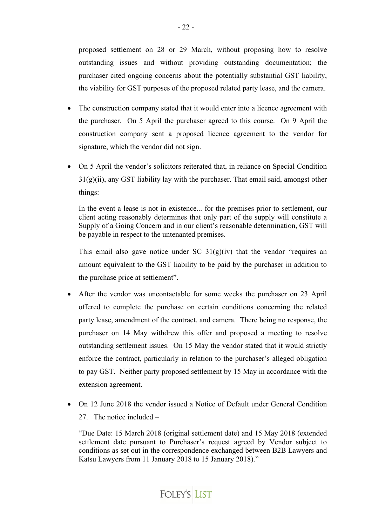proposed settlement on 28 or 29 March, without proposing how to resolve outstanding issues and without providing outstanding documentation; the purchaser cited ongoing concerns about the potentially substantial GST liability, the viability for GST purposes of the proposed related party lease, and the camera.

- The construction company stated that it would enter into a licence agreement with the purchaser. On 5 April the purchaser agreed to this course. On 9 April the construction company sent a proposed licence agreement to the vendor for signature, which the vendor did not sign.
- On 5 April the vendor's solicitors reiterated that, in reliance on Special Condition  $31(g)(ii)$ , any GST liability lay with the purchaser. That email said, amongst other things:

In the event a lease is not in existence... for the premises prior to settlement, our client acting reasonably determines that only part of the supply will constitute a Supply of a Going Concern and in our client's reasonable determination, GST will be payable in respect to the untenanted premises.

This email also gave notice under SC  $31(g)(iv)$  that the vendor "requires an amount equivalent to the GST liability to be paid by the purchaser in addition to the purchase price at settlement".

- After the vendor was uncontactable for some weeks the purchaser on 23 April offered to complete the purchase on certain conditions concerning the related party lease, amendment of the contract, and camera. There being no response, the purchaser on 14 May withdrew this offer and proposed a meeting to resolve outstanding settlement issues. On 15 May the vendor stated that it would strictly enforce the contract, particularly in relation to the purchaser's alleged obligation to pay GST. Neither party proposed settlement by 15 May in accordance with the extension agreement.
- On 12 June 2018 the vendor issued a Notice of Default under General Condition 27. The notice included –

"Due Date: 15 March 2018 (original settlement date) and 15 May 2018 (extended settlement date pursuant to Purchaser's request agreed by Vendor subject to conditions as set out in the correspondence exchanged between B2B Lawyers and Katsu Lawyers from 11 January 2018 to 15 January 2018)."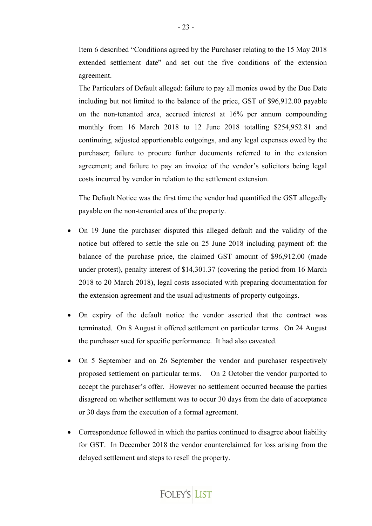Item 6 described "Conditions agreed by the Purchaser relating to the 15 May 2018 extended settlement date" and set out the five conditions of the extension agreement.

The Particulars of Default alleged: failure to pay all monies owed by the Due Date including but not limited to the balance of the price, GST of \$96,912.00 payable on the non-tenanted area, accrued interest at 16% per annum compounding monthly from 16 March 2018 to 12 June 2018 totalling \$254,952.81 and continuing, adjusted apportionable outgoings, and any legal expenses owed by the purchaser; failure to procure further documents referred to in the extension agreement; and failure to pay an invoice of the vendor's solicitors being legal costs incurred by vendor in relation to the settlement extension.

The Default Notice was the first time the vendor had quantified the GST allegedly payable on the non-tenanted area of the property.

- On 19 June the purchaser disputed this alleged default and the validity of the notice but offered to settle the sale on 25 June 2018 including payment of: the balance of the purchase price, the claimed GST amount of \$96,912.00 (made under protest), penalty interest of \$14,301.37 (covering the period from 16 March 2018 to 20 March 2018), legal costs associated with preparing documentation for the extension agreement and the usual adjustments of property outgoings.
- On expiry of the default notice the vendor asserted that the contract was terminated. On 8 August it offered settlement on particular terms. On 24 August the purchaser sued for specific performance. It had also caveated.
- On 5 September and on 26 September the vendor and purchaser respectively proposed settlement on particular terms. On 2 October the vendor purported to accept the purchaser's offer. However no settlement occurred because the parties disagreed on whether settlement was to occur 30 days from the date of acceptance or 30 days from the execution of a formal agreement.
- Correspondence followed in which the parties continued to disagree about liability for GST. In December 2018 the vendor counterclaimed for loss arising from the delayed settlement and steps to resell the property.

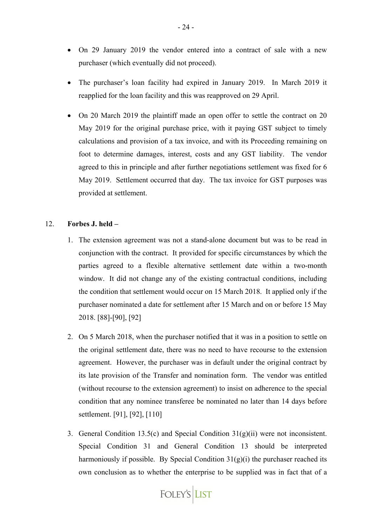- On 29 January 2019 the vendor entered into a contract of sale with a new purchaser (which eventually did not proceed).
- The purchaser's loan facility had expired in January 2019. In March 2019 it reapplied for the loan facility and this was reapproved on 29 April.
- On 20 March 2019 the plaintiff made an open offer to settle the contract on 20 May 2019 for the original purchase price, with it paying GST subject to timely calculations and provision of a tax invoice, and with its Proceeding remaining on foot to determine damages, interest, costs and any GST liability. The vendor agreed to this in principle and after further negotiations settlement was fixed for 6 May 2019. Settlement occurred that day. The tax invoice for GST purposes was provided at settlement.

#### 12. **Forbes J. held –**

- 1. The extension agreement was not a stand-alone document but was to be read in conjunction with the contract. It provided for specific circumstances by which the parties agreed to a flexible alternative settlement date within a two-month window. It did not change any of the existing contractual conditions, including the condition that settlement would occur on 15 March 2018. It applied only if the purchaser nominated a date for settlement after 15 March and on or before 15 May 2018. [88]-[90], [92]
- 2. On 5 March 2018, when the purchaser notified that it was in a position to settle on the original settlement date, there was no need to have recourse to the extension agreement. However, the purchaser was in default under the original contract by its late provision of the Transfer and nomination form. The vendor was entitled (without recourse to the extension agreement) to insist on adherence to the special condition that any nominee transferee be nominated no later than 14 days before settlement. [91], [92], [110]
- 3. General Condition 13.5(c) and Special Condition 31(g)(ii) were not inconsistent. Special Condition 31 and General Condition 13 should be interpreted harmoniously if possible. By Special Condition  $31(g)(i)$  the purchaser reached its own conclusion as to whether the enterprise to be supplied was in fact that of a

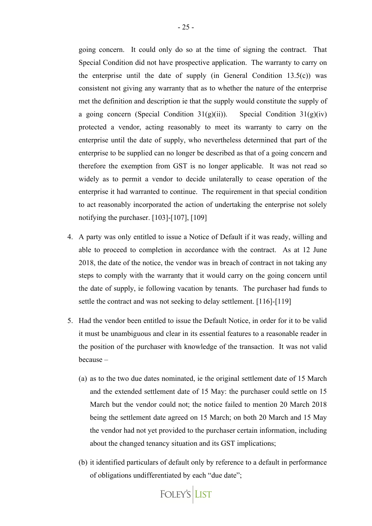going concern. It could only do so at the time of signing the contract. That Special Condition did not have prospective application. The warranty to carry on the enterprise until the date of supply (in General Condition  $13.5(c)$ ) was consistent not giving any warranty that as to whether the nature of the enterprise met the definition and description ie that the supply would constitute the supply of a going concern (Special Condition 31(g)(ii)). Special Condition 31(g)(iv) protected a vendor, acting reasonably to meet its warranty to carry on the enterprise until the date of supply, who nevertheless determined that part of the enterprise to be supplied can no longer be described as that of a going concern and therefore the exemption from GST is no longer applicable. It was not read so widely as to permit a vendor to decide unilaterally to cease operation of the enterprise it had warranted to continue. The requirement in that special condition

to act reasonably incorporated the action of undertaking the enterprise not solely

notifying the purchaser. [103]-[107], [109]

- 4. A party was only entitled to issue a Notice of Default if it was ready, willing and able to proceed to completion in accordance with the contract. As at 12 June 2018, the date of the notice, the vendor was in breach of contract in not taking any steps to comply with the warranty that it would carry on the going concern until the date of supply, ie following vacation by tenants. The purchaser had funds to settle the contract and was not seeking to delay settlement. [116]-[119]
- 5. Had the vendor been entitled to issue the Default Notice, in order for it to be valid it must be unambiguous and clear in its essential features to a reasonable reader in the position of the purchaser with knowledge of the transaction. It was not valid because –
	- (a) as to the two due dates nominated, ie the original settlement date of 15 March and the extended settlement date of 15 May: the purchaser could settle on 15 March but the vendor could not; the notice failed to mention 20 March 2018 being the settlement date agreed on 15 March; on both 20 March and 15 May the vendor had not yet provided to the purchaser certain information, including about the changed tenancy situation and its GST implications;
	- (b) it identified particulars of default only by reference to a default in performance of obligations undifferentiated by each "due date";

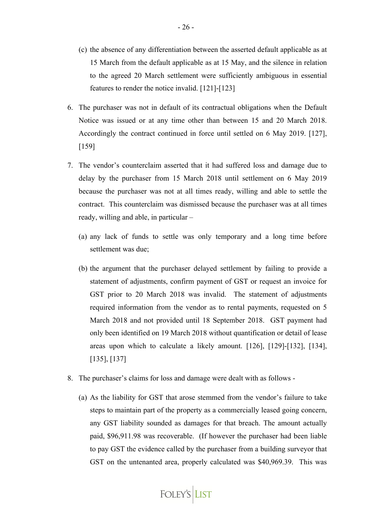- (c) the absence of any differentiation between the asserted default applicable as at 15 March from the default applicable as at 15 May, and the silence in relation to the agreed 20 March settlement were sufficiently ambiguous in essential features to render the notice invalid. [121]-[123]
- 6. The purchaser was not in default of its contractual obligations when the Default Notice was issued or at any time other than between 15 and 20 March 2018. Accordingly the contract continued in force until settled on 6 May 2019. [127], [159]
- 7. The vendor's counterclaim asserted that it had suffered loss and damage due to delay by the purchaser from 15 March 2018 until settlement on 6 May 2019 because the purchaser was not at all times ready, willing and able to settle the contract. This counterclaim was dismissed because the purchaser was at all times ready, willing and able, in particular –
	- (a) any lack of funds to settle was only temporary and a long time before settlement was due;
	- (b) the argument that the purchaser delayed settlement by failing to provide a statement of adjustments, confirm payment of GST or request an invoice for GST prior to 20 March 2018 was invalid. The statement of adjustments required information from the vendor as to rental payments, requested on 5 March 2018 and not provided until 18 September 2018. GST payment had only been identified on 19 March 2018 without quantification or detail of lease areas upon which to calculate a likely amount. [126], [129]-[132], [134], [135], [137]
- 8. The purchaser's claims for loss and damage were dealt with as follows
	- (a) As the liability for GST that arose stemmed from the vendor's failure to take steps to maintain part of the property as a commercially leased going concern, any GST liability sounded as damages for that breach. The amount actually paid, \$96,911.98 was recoverable. (If however the purchaser had been liable to pay GST the evidence called by the purchaser from a building surveyor that GST on the untenanted area, properly calculated was \$40,969.39. This was

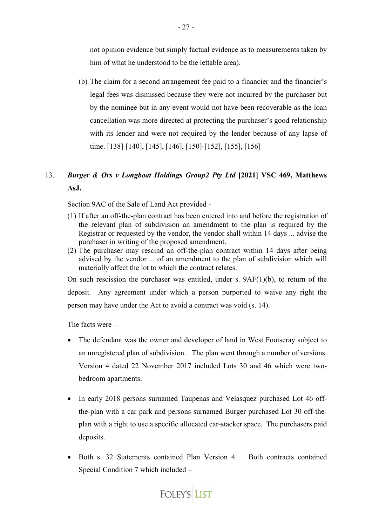not opinion evidence but simply factual evidence as to measurements taken by him of what he understood to be the lettable area).

(b) The claim for a second arrangement fee paid to a financier and the financier's legal fees was dismissed because they were not incurred by the purchaser but by the nominee but in any event would not have been recoverable as the loan cancellation was more directed at protecting the purchaser's good relationship with its lender and were not required by the lender because of any lapse of time. [138]-[140], [145], [146], [150]-[152], [155], [156]

# 13. *Burger & Ors v Longboat Holdings Group2 Pty Ltd* **[2021] VSC 469, Matthews AsJ.**

Section 9AC of the Sale of Land Act provided -

- (1) If after an off-the-plan contract has been entered into and before the registration of the relevant plan of subdivision an amendment to the plan is required by the Registrar or requested by the vendor, the vendor shall within 14 days ... advise the purchaser in writing of the proposed amendment.
- (2) The purchaser may rescind an off-the-plan contract within 14 days after being advised by the vendor ... of an amendment to the plan of subdivision which will materially affect the lot to which the contract relates.

On such rescission the purchaser was entitled, under s. 9AF(1)(b), to return of the deposit. Any agreement under which a person purported to waive any right the person may have under the Act to avoid a contract was void (s. 14).

The facts were –

- The defendant was the owner and developer of land in West Footscray subject to an unregistered plan of subdivision. The plan went through a number of versions. Version 4 dated 22 November 2017 included Lots 30 and 46 which were twobedroom apartments.
- In early 2018 persons surnamed Taupenas and Velasquez purchased Lot 46 offthe-plan with a car park and persons surnamed Burger purchased Lot 30 off-theplan with a right to use a specific allocated car-stacker space. The purchasers paid deposits.
- Both s. 32 Statements contained Plan Version 4. Both contracts contained Special Condition 7 which included –

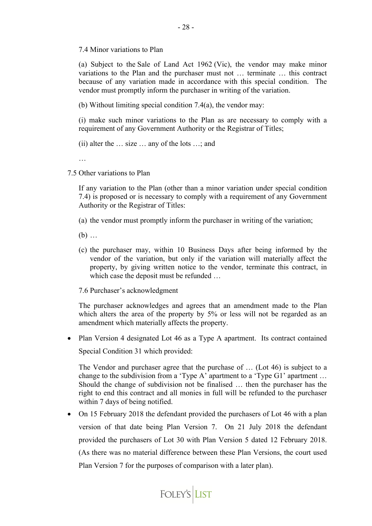7.4 Minor variations to Plan

(a) Subject to the Sale of Land Act 1962 (Vic), the vendor may make minor variations to the Plan and the purchaser must not … terminate … this contract because of any variation made in accordance with this special condition. The vendor must promptly inform the purchaser in writing of the variation.

(b) Without limiting special condition 7.4(a), the vendor may:

(i) make such minor variations to the Plan as are necessary to comply with a requirement of any Government Authority or the Registrar of Titles;

(ii) alter the … size … any of the lots …; and

…

7.5 Other variations to Plan

If any variation to the Plan (other than a minor variation under special condition 7.4) is proposed or is necessary to comply with a requirement of any Government Authority or the Registrar of Titles:

(a) the vendor must promptly inform the purchaser in writing of the variation;

(b) …

- (c) the purchaser may, within 10 Business Days after being informed by the vendor of the variation, but only if the variation will materially affect the property, by giving written notice to the vendor, terminate this contract, in which case the deposit must be refunded …
- 7.6 Purchaser's acknowledgment

The purchaser acknowledges and agrees that an amendment made to the Plan which alters the area of the property by 5% or less will not be regarded as an amendment which materially affects the property.

• Plan Version 4 designated Lot 46 as a Type A apartment. Its contract contained Special Condition 31 which provided:

The Vendor and purchaser agree that the purchase of … (Lot 46) is subject to a change to the subdivision from a 'Type A' apartment to a 'Type G1' apartment … Should the change of subdivision not be finalised … then the purchaser has the right to end this contract and all monies in full will be refunded to the purchaser within 7 days of being notified.

• On 15 February 2018 the defendant provided the purchasers of Lot 46 with a plan version of that date being Plan Version 7. On 21 July 2018 the defendant provided the purchasers of Lot 30 with Plan Version 5 dated 12 February 2018. (As there was no material difference between these Plan Versions, the court used Plan Version 7 for the purposes of comparison with a later plan).

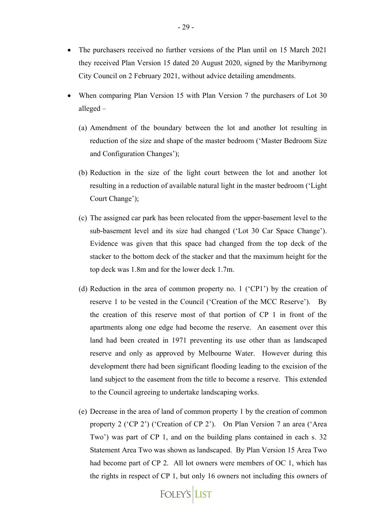- The purchasers received no further versions of the Plan until on 15 March 2021 they received Plan Version 15 dated 20 August 2020, signed by the Maribyrnong City Council on 2 February 2021, without advice detailing amendments.
- When comparing Plan Version 15 with Plan Version 7 the purchasers of Lot 30 alleged –
	- (a) Amendment of the boundary between the lot and another lot resulting in reduction of the size and shape of the master bedroom ('Master Bedroom Size and Configuration Changes');
	- (b) Reduction in the size of the light court between the lot and another lot resulting in a reduction of available natural light in the master bedroom ('Light Court Change');
	- (c) The assigned car park has been relocated from the upper-basement level to the sub-basement level and its size had changed ('Lot 30 Car Space Change'). Evidence was given that this space had changed from the top deck of the stacker to the bottom deck of the stacker and that the maximum height for the top deck was 1.8m and for the lower deck 1.7m.
	- (d) Reduction in the area of common property no. 1 ('CP1') by the creation of reserve 1 to be vested in the Council ('Creation of the MCC Reserve'). By the creation of this reserve most of that portion of CP 1 in front of the apartments along one edge had become the reserve. An easement over this land had been created in 1971 preventing its use other than as landscaped reserve and only as approved by Melbourne Water. However during this development there had been significant flooding leading to the excision of the land subject to the easement from the title to become a reserve. This extended to the Council agreeing to undertake landscaping works.
	- (e) Decrease in the area of land of common property 1 by the creation of common property 2 ('CP 2') ('Creation of CP 2'). On Plan Version 7 an area ('Area Two') was part of CP 1, and on the building plans contained in each s. 32 Statement Area Two was shown as landscaped. By Plan Version 15 Area Two had become part of CP 2. All lot owners were members of OC 1, which has the rights in respect of CP 1, but only 16 owners not including this owners of

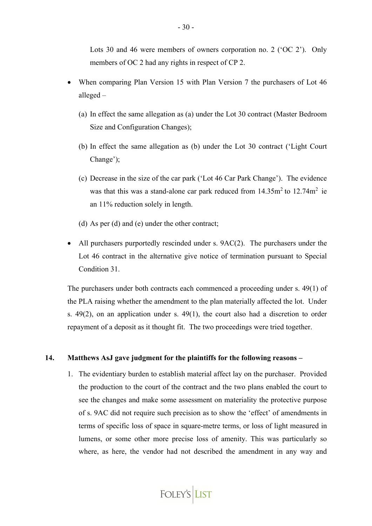Lots 30 and 46 were members of owners corporation no. 2 ('OC 2'). Only members of OC 2 had any rights in respect of CP 2.

- When comparing Plan Version 15 with Plan Version 7 the purchasers of Lot 46 alleged –
	- (a) In effect the same allegation as (a) under the Lot 30 contract (Master Bedroom Size and Configuration Changes);
	- (b) In effect the same allegation as (b) under the Lot 30 contract ('Light Court Change');
	- (c) Decrease in the size of the car park ('Lot 46 Car Park Change'). The evidence was that this was a stand-alone car park reduced from  $14.35m<sup>2</sup>$  to  $12.74m<sup>2</sup>$  ie an 11% reduction solely in length.
	- (d) As per (d) and (e) under the other contract;
- All purchasers purportedly rescinded under s. 9AC(2). The purchasers under the Lot 46 contract in the alternative give notice of termination pursuant to Special Condition 31.

The purchasers under both contracts each commenced a proceeding under s. 49(1) of the PLA raising whether the amendment to the plan materially affected the lot. Under s. 49(2), on an application under s. 49(1), the court also had a discretion to order repayment of a deposit as it thought fit. The two proceedings were tried together.

#### **14. Matthews AsJ gave judgment for the plaintiffs for the following reasons –**

1. The evidentiary burden to establish material affect lay on the purchaser. Provided the production to the court of the contract and the two plans enabled the court to see the changes and make some assessment on materiality the protective purpose of s. 9AC did not require such precision as to show the 'effect' of amendments in terms of specific loss of space in square-metre terms, or loss of light measured in lumens, or some other more precise loss of amenity. This was particularly so where, as here, the vendor had not described the amendment in any way and

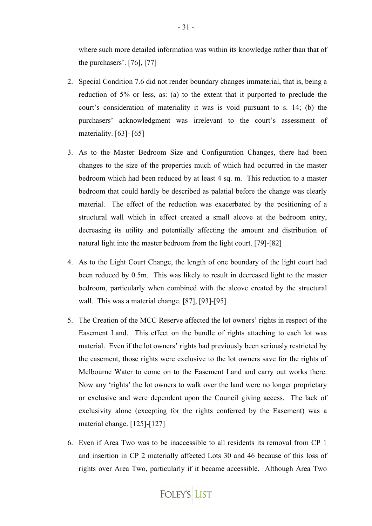where such more detailed information was within its knowledge rather than that of the purchasers'. [76], [77]

- 2. Special Condition 7.6 did not render boundary changes immaterial, that is, being a reduction of 5% or less, as: (a) to the extent that it purported to preclude the court's consideration of materiality it was is void pursuant to s. 14; (b) the purchasers' acknowledgment was irrelevant to the court's assessment of materiality. [63]- [65]
- 3. As to the Master Bedroom Size and Configuration Changes, there had been changes to the size of the properties much of which had occurred in the master bedroom which had been reduced by at least 4 sq. m. This reduction to a master bedroom that could hardly be described as palatial before the change was clearly material. The effect of the reduction was exacerbated by the positioning of a structural wall which in effect created a small alcove at the bedroom entry, decreasing its utility and potentially affecting the amount and distribution of natural light into the master bedroom from the light court. [79]-[82]
- 4. As to the Light Court Change, the length of one boundary of the light court had been reduced by 0.5m. This was likely to result in decreased light to the master bedroom, particularly when combined with the alcove created by the structural wall. This was a material change. [87], [93]-[95]
- 5. The Creation of the MCC Reserve affected the lot owners' rights in respect of the Easement Land. This effect on the bundle of rights attaching to each lot was material. Even if the lot owners' rights had previously been seriously restricted by the easement, those rights were exclusive to the lot owners save for the rights of Melbourne Water to come on to the Easement Land and carry out works there. Now any 'rights' the lot owners to walk over the land were no longer proprietary or exclusive and were dependent upon the Council giving access. The lack of exclusivity alone (excepting for the rights conferred by the Easement) was a material change. [125]-[127]
- 6. Even if Area Two was to be inaccessible to all residents its removal from CP 1 and insertion in CP 2 materially affected Lots 30 and 46 because of this loss of rights over Area Two, particularly if it became accessible. Although Area Two

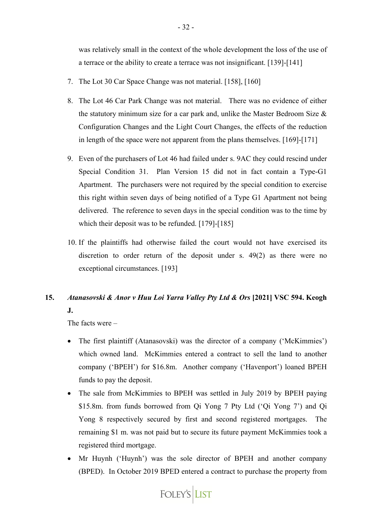was relatively small in the context of the whole development the loss of the use of a terrace or the ability to create a terrace was not insignificant. [139]-[141]

- 7. The Lot 30 Car Space Change was not material. [158], [160]
- 8. The Lot 46 Car Park Change was not material. There was no evidence of either the statutory minimum size for a car park and, unlike the Master Bedroom Size & Configuration Changes and the Light Court Changes, the effects of the reduction in length of the space were not apparent from the plans themselves. [169]-[171]
- 9. Even of the purchasers of Lot 46 had failed under s. 9AC they could rescind under Special Condition 31. Plan Version 15 did not in fact contain a Type-G1 Apartment. The purchasers were not required by the special condition to exercise this right within seven days of being notified of a Type G1 Apartment not being delivered. The reference to seven days in the special condition was to the time by which their deposit was to be refunded. [179]-[185]
- 10. If the plaintiffs had otherwise failed the court would not have exercised its discretion to order return of the deposit under s. 49(2) as there were no exceptional circumstances. [193]

# **15.** *Atanasovski & Anor v Huu Loi Yarra Valley Pty Ltd & Ors* **[2021] VSC 594. Keogh J.**

The facts were –

- The first plaintiff (Atanasovski) was the director of a company ('McKimmies') which owned land. McKimmies entered a contract to sell the land to another company ('BPEH') for \$16.8m. Another company ('Havenport') loaned BPEH funds to pay the deposit.
- The sale from McKimmies to BPEH was settled in July 2019 by BPEH paying \$15.8m. from funds borrowed from Qi Yong 7 Pty Ltd ('Qi Yong 7') and Qi Yong 8 respectively secured by first and second registered mortgages. The remaining \$1 m. was not paid but to secure its future payment McKimmies took a registered third mortgage.
- Mr Huynh ('Huynh') was the sole director of BPEH and another company (BPED). In October 2019 BPED entered a contract to purchase the property from

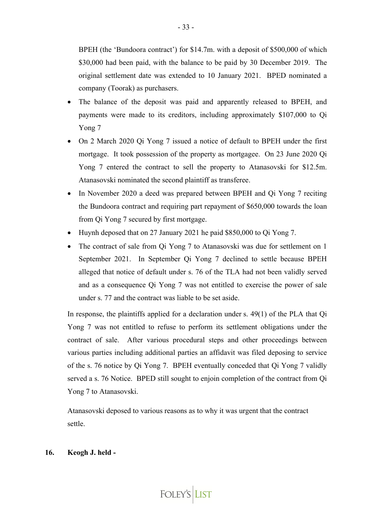BPEH (the 'Bundoora contract') for \$14.7m. with a deposit of \$500,000 of which \$30,000 had been paid, with the balance to be paid by 30 December 2019. The original settlement date was extended to 10 January 2021. BPED nominated a company (Toorak) as purchasers.

- The balance of the deposit was paid and apparently released to BPEH, and payments were made to its creditors, including approximately \$107,000 to Qi Yong 7
- On 2 March 2020 Qi Yong 7 issued a notice of default to BPEH under the first mortgage. It took possession of the property as mortgagee. On 23 June 2020 Qi Yong 7 entered the contract to sell the property to Atanasovski for \$12.5m. Atanasovski nominated the second plaintiff as transferee.
- In November 2020 a deed was prepared between BPEH and Qi Yong 7 reciting the Bundoora contract and requiring part repayment of \$650,000 towards the loan from Qi Yong 7 secured by first mortgage.
- Huynh deposed that on 27 January 2021 he paid \$850,000 to Qi Yong 7.
- The contract of sale from Qi Yong 7 to Atanasovski was due for settlement on 1 September 2021. In September Qi Yong 7 declined to settle because BPEH alleged that notice of default under s. 76 of the TLA had not been validly served and as a consequence Qi Yong 7 was not entitled to exercise the power of sale under s. 77 and the contract was liable to be set aside.

In response, the plaintiffs applied for a declaration under s. 49(1) of the PLA that Qi Yong 7 was not entitled to refuse to perform its settlement obligations under the contract of sale. After various procedural steps and other proceedings between various parties including additional parties an affidavit was filed deposing to service of the s. 76 notice by Qi Yong 7. BPEH eventually conceded that Qi Yong 7 validly served a s. 76 Notice. BPED still sought to enjoin completion of the contract from Qi Yong 7 to Atanasovski.

Atanasovski deposed to various reasons as to why it was urgent that the contract settle.

## **16. Keogh J. held -**

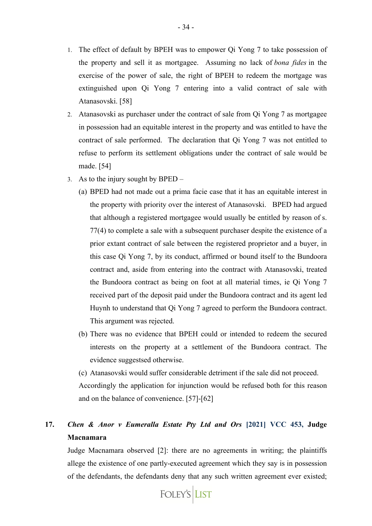- 1. The effect of default by BPEH was to empower Qi Yong 7 to take possession of the property and sell it as mortgagee. Assuming no lack of *bona fides* in the exercise of the power of sale, the right of BPEH to redeem the mortgage was extinguished upon Qi Yong 7 entering into a valid contract of sale with Atanasovski. [58]
- 2. Atanasovski as purchaser under the contract of sale from Qi Yong 7 as mortgagee in possession had an equitable interest in the property and was entitled to have the contract of sale performed. The declaration that Qi Yong 7 was not entitled to refuse to perform its settlement obligations under the contract of sale would be made. [54]
- 3. As to the injury sought by BPED
	- (a) BPED had not made out a prima facie case that it has an equitable interest in the property with priority over the interest of Atanasovski. BPED had argued that although a registered mortgagee would usually be entitled by reason of s. 77(4) to complete a sale with a subsequent purchaser despite the existence of a prior extant contract of sale between the registered proprietor and a buyer, in this case Qi Yong 7, by its conduct, affirmed or bound itself to the Bundoora contract and, aside from entering into the contract with Atanasovski, treated the Bundoora contract as being on foot at all material times, ie Qi Yong 7 received part of the deposit paid under the Bundoora contract and its agent led Huynh to understand that Qi Yong 7 agreed to perform the Bundoora contract. This argument was rejected.
	- (b) There was no evidence that BPEH could or intended to redeem the secured interests on the property at a settlement of the Bundoora contract. The evidence suggestsed otherwise.

(c) Atanasovski would suffer considerable detriment if the sale did not proceed. Accordingly the application for injunction would be refused both for this reason and on the balance of convenience. [57]-[62]

# **17.** *Chen & Anor v Eumeralla Estate Pty Ltd and Ors* **[2021] VCC 453, Judge Macnamara**

Judge Macnamara observed [2]: there are no agreements in writing; the plaintiffs allege the existence of one partly-executed agreement which they say is in possession of the defendants, the defendants deny that any such written agreement ever existed;

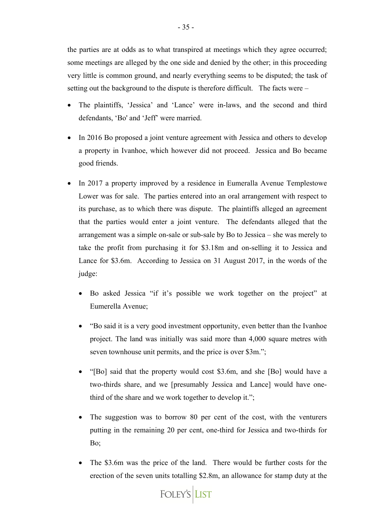the parties are at odds as to what transpired at meetings which they agree occurred; some meetings are alleged by the one side and denied by the other; in this proceeding very little is common ground, and nearly everything seems to be disputed; the task of setting out the background to the dispute is therefore difficult. The facts were –

- The plaintiffs, 'Jessica' and 'Lance' were in-laws, and the second and third defendants, 'Bo' and 'Jeff' were married.
- In 2016 Bo proposed a joint venture agreement with Jessica and others to develop a property in Ivanhoe, which however did not proceed. Jessica and Bo became good friends.
- In 2017 a property improved by a residence in Eumeralla Avenue Templestowe Lower was for sale. The parties entered into an oral arrangement with respect to its purchase, as to which there was dispute. The plaintiffs alleged an agreement that the parties would enter a joint venture. The defendants alleged that the arrangement was a simple on-sale or sub-sale by Bo to Jessica – she was merely to take the profit from purchasing it for \$3.18m and on-selling it to Jessica and Lance for \$3.6m. According to Jessica on 31 August 2017, in the words of the judge:
	- Bo asked Jessica "if it's possible we work together on the project" at Eumerella Avenue;
	- "Bo said it is a very good investment opportunity, even better than the Ivanhoe project. The land was initially was said more than 4,000 square metres with seven townhouse unit permits, and the price is over \$3m.";
	- "[Bo] said that the property would cost \$3.6m, and she [Bo] would have a two-thirds share, and we [presumably Jessica and Lance] would have onethird of the share and we work together to develop it.";
	- The suggestion was to borrow 80 per cent of the cost, with the venturers putting in the remaining 20 per cent, one-third for Jessica and two-thirds for Bo;
	- The \$3.6m was the price of the land. There would be further costs for the erection of the seven units totalling \$2.8m, an allowance for stamp duty at the

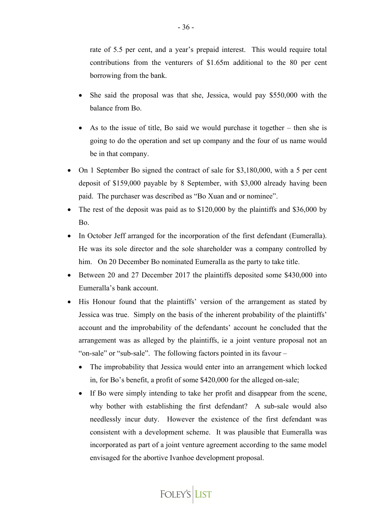rate of 5.5 per cent, and a year's prepaid interest. This would require total contributions from the venturers of \$1.65m additional to the 80 per cent borrowing from the bank.

- She said the proposal was that she, Jessica, would pay \$550,000 with the balance from Bo.
- As to the issue of title, Bo said we would purchase it together then she is going to do the operation and set up company and the four of us name would be in that company.
- On 1 September Bo signed the contract of sale for \$3,180,000, with a 5 per cent deposit of \$159,000 payable by 8 September, with \$3,000 already having been paid. The purchaser was described as "Bo Xuan and or nominee".
- The rest of the deposit was paid as to \$120,000 by the plaintiffs and \$36,000 by Bo.
- In October Jeff arranged for the incorporation of the first defendant (Eumeralla). He was its sole director and the sole shareholder was a company controlled by him. On 20 December Bo nominated Eumeralla as the party to take title.
- Between 20 and 27 December 2017 the plaintiffs deposited some \$430,000 into Eumeralla's bank account.
- His Honour found that the plaintiffs' version of the arrangement as stated by Jessica was true. Simply on the basis of the inherent probability of the plaintiffs' account and the improbability of the defendants' account he concluded that the arrangement was as alleged by the plaintiffs, ie a joint venture proposal not an "on-sale" or "sub-sale". The following factors pointed in its favour –
	- The improbability that Jessica would enter into an arrangement which locked in, for Bo's benefit, a profit of some \$420,000 for the alleged on-sale;
	- If Bo were simply intending to take her profit and disappear from the scene, why bother with establishing the first defendant? A sub-sale would also needlessly incur duty. However the existence of the first defendant was consistent with a development scheme. It was plausible that Eumeralla was incorporated as part of a joint venture agreement according to the same model envisaged for the abortive Ivanhoe development proposal.

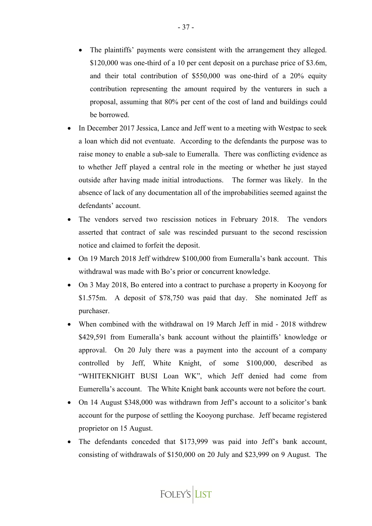- The plaintiffs' payments were consistent with the arrangement they alleged. \$120,000 was one-third of a 10 per cent deposit on a purchase price of \$3.6m, and their total contribution of \$550,000 was one-third of a 20% equity contribution representing the amount required by the venturers in such a proposal, assuming that 80% per cent of the cost of land and buildings could be borrowed.
- In December 2017 Jessica, Lance and Jeff went to a meeting with Westpac to seek a loan which did not eventuate. According to the defendants the purpose was to raise money to enable a sub-sale to Eumeralla. There was conflicting evidence as to whether Jeff played a central role in the meeting or whether he just stayed outside after having made initial introductions. The former was likely. In the absence of lack of any documentation all of the improbabilities seemed against the defendants' account.
- The vendors served two rescission notices in February 2018. The vendors asserted that contract of sale was rescinded pursuant to the second rescission notice and claimed to forfeit the deposit.
- On 19 March 2018 Jeff withdrew \$100,000 from Eumeralla's bank account. This withdrawal was made with Bo's prior or concurrent knowledge.
- On 3 May 2018, Bo entered into a contract to purchase a property in Kooyong for \$1.575m. A deposit of \$78,750 was paid that day. She nominated Jeff as purchaser.
- When combined with the withdrawal on 19 March Jeff in mid 2018 withdrew \$429,591 from Eumeralla's bank account without the plaintiffs' knowledge or approval. On 20 July there was a payment into the account of a company controlled by Jeff, White Knight, of some \$100,000, described as "WHITEKNIGHT BUSI Loan WK", which Jeff denied had come from Eumerella's account. The White Knight bank accounts were not before the court.
- On 14 August \$348,000 was withdrawn from Jeff's account to a solicitor's bank account for the purpose of settling the Kooyong purchase. Jeff became registered proprietor on 15 August.
- The defendants conceded that \$173,999 was paid into Jeff's bank account, consisting of withdrawals of \$150,000 on 20 July and \$23,999 on 9 August. The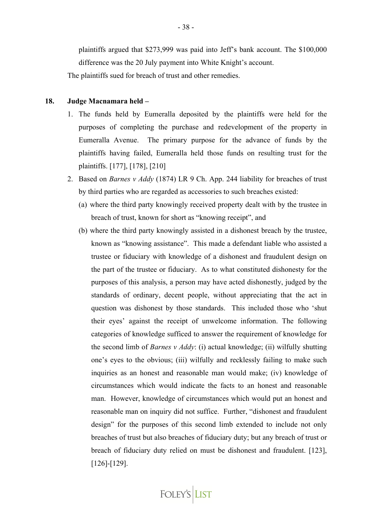plaintiffs argued that \$273,999 was paid into Jeff's bank account. The \$100,000 difference was the 20 July payment into White Knight's account.

The plaintiffs sued for breach of trust and other remedies.

#### **18. Judge Macnamara held –**

- 1. The funds held by Eumeralla deposited by the plaintiffs were held for the purposes of completing the purchase and redevelopment of the property in Eumeralla Avenue. The primary purpose for the advance of funds by the plaintiffs having failed, Eumeralla held those funds on resulting trust for the plaintiffs. [177], [178], [210]
- 2. Based on *Barnes v Addy* (1874) LR 9 Ch. App. 244 liability for breaches of trust by third parties who are regarded as accessories to such breaches existed:
	- (a) where the third party knowingly received property dealt with by the trustee in breach of trust, known for short as "knowing receipt", and
	- (b) where the third party knowingly assisted in a dishonest breach by the trustee, known as "knowing assistance". This made a defendant liable who assisted a trustee or fiduciary with knowledge of a dishonest and fraudulent design on the part of the trustee or fiduciary. As to what constituted dishonesty for the purposes of this analysis, a person may have acted dishonestly, judged by the standards of ordinary, decent people, without appreciating that the act in question was dishonest by those standards. This included those who 'shut their eyes' against the receipt of unwelcome information. The following categories of knowledge sufficed to answer the requirement of knowledge for the second limb of *Barnes v Addy*: (i) actual knowledge; (ii) wilfully shutting one's eyes to the obvious; (iii) wilfully and recklessly failing to make such inquiries as an honest and reasonable man would make; (iv) knowledge of circumstances which would indicate the facts to an honest and reasonable man. However, knowledge of circumstances which would put an honest and reasonable man on inquiry did not suffice. Further, "dishonest and fraudulent design" for the purposes of this second limb extended to include not only breaches of trust but also breaches of fiduciary duty; but any breach of trust or breach of fiduciary duty relied on must be dishonest and fraudulent. [123], [126]-[129].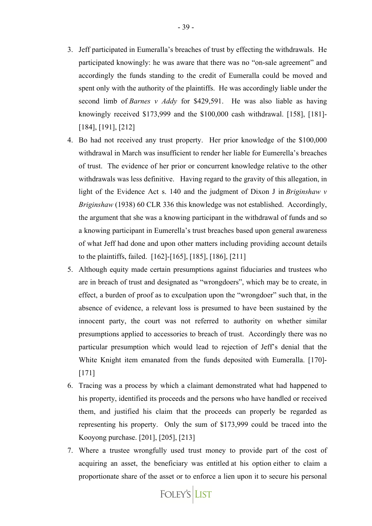- 3. Jeff participated in Eumeralla's breaches of trust by effecting the withdrawals. He participated knowingly: he was aware that there was no "on-sale agreement" and accordingly the funds standing to the credit of Eumeralla could be moved and spent only with the authority of the plaintiffs. He was accordingly liable under the second limb of *Barnes v Addy* for \$429,591. He was also liable as having knowingly received \$173,999 and the \$100,000 cash withdrawal. [158], [181]- [184], [191], [212]
- 4. Bo had not received any trust property. Her prior knowledge of the \$100,000 withdrawal in March was insufficient to render her liable for Eumerella's breaches of trust. The evidence of her prior or concurrent knowledge relative to the other withdrawals was less definitive. Having regard to the gravity of this allegation, in light of the Evidence Act s. 140 and the judgment of Dixon J in *Briginshaw v Briginshaw* (1938) 60 CLR 336 this knowledge was not established. Accordingly, the argument that she was a knowing participant in the withdrawal of funds and so a knowing participant in Eumerella's trust breaches based upon general awareness of what Jeff had done and upon other matters including providing account details to the plaintiffs, failed. [162]-[165], [185], [186], [211]
- 5. Although equity made certain presumptions against fiduciaries and trustees who are in breach of trust and designated as "wrongdoers", which may be to create, in effect, a burden of proof as to exculpation upon the "wrongdoer" such that, in the absence of evidence, a relevant loss is presumed to have been sustained by the innocent party, the court was not referred to authority on whether similar presumptions applied to accessories to breach of trust. Accordingly there was no particular presumption which would lead to rejection of Jeff's denial that the White Knight item emanated from the funds deposited with Eumeralla. [170]- [171]
- 6. Tracing was a process by which a claimant demonstrated what had happened to his property, identified its proceeds and the persons who have handled or received them, and justified his claim that the proceeds can properly be regarded as representing his property. Only the sum of \$173,999 could be traced into the Kooyong purchase. [201], [205], [213]
- 7. Where a trustee wrongfully used trust money to provide part of the cost of acquiring an asset, the beneficiary was entitled at his option either to claim a proportionate share of the asset or to enforce a lien upon it to secure his personal

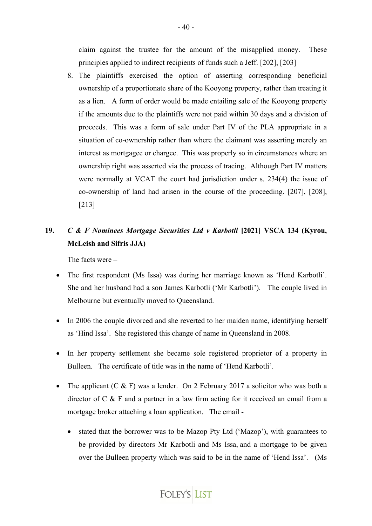claim against the trustee for the amount of the misapplied money. These principles applied to indirect recipients of funds such a Jeff. [202], [203]

8. The plaintiffs exercised the option of asserting corresponding beneficial ownership of a proportionate share of the Kooyong property, rather than treating it as a lien. A form of order would be made entailing sale of the Kooyong property if the amounts due to the plaintiffs were not paid within 30 days and a division of proceeds. This was a form of sale under Part IV of the PLA appropriate in a situation of co-ownership rather than where the claimant was asserting merely an interest as mortgagee or chargee. This was properly so in circumstances where an ownership right was asserted via the process of tracing. Although Part IV matters were normally at VCAT the court had jurisdiction under s. 234(4) the issue of co-ownership of land had arisen in the course of the proceeding. [207], [208], [213]

# **19.** *C & F Nominees Mortgage Securities Ltd v Karbotli* **[2021] VSCA 134 (Kyrou, McLeish and Sifris JJA)**

The facts were –

- The first respondent (Ms Issa) was during her marriage known as 'Hend Karbotli'. She and her husband had a son James Karbotli ('Mr Karbotli'). The couple lived in Melbourne but eventually moved to Queensland.
- In 2006 the couple divorced and she reverted to her maiden name, identifying herself as 'Hind Issa'. She registered this change of name in Queensland in 2008.
- In her property settlement she became sole registered proprietor of a property in Bulleen. The certificate of title was in the name of 'Hend Karbotli'.
- The applicant  $(C & F)$  was a lender. On 2 February 2017 a solicitor who was both a director of C & F and a partner in a law firm acting for it received an email from a mortgage broker attaching a loan application. The email -
	- stated that the borrower was to be Mazop Pty Ltd ('Mazop'), with guarantees to be provided by directors Mr Karbotli and Ms Issa, and a mortgage to be given over the Bulleen property which was said to be in the name of 'Hend Issa'. (Ms

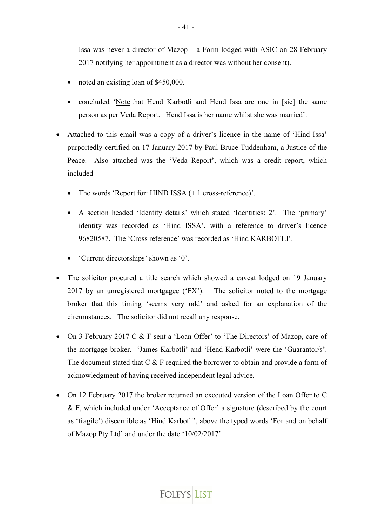Issa was never a director of Mazop – a Form lodged with ASIC on 28 February 2017 notifying her appointment as a director was without her consent).

- noted an existing loan of \$450,000.
- concluded 'Note that Hend Karbotli and Hend Issa are one in [sic] the same person as per Veda Report. Hend Issa is her name whilst she was married'.
- Attached to this email was a copy of a driver's licence in the name of 'Hind Issa' purportedly certified on 17 January 2017 by Paul Bruce Tuddenham, a Justice of the Peace. Also attached was the 'Veda Report', which was a credit report, which included –
	- The words 'Report for: HIND ISSA  $(+ 1 \text{ cross-reference})$ '.
	- A section headed 'Identity details' which stated 'Identities: 2'. The 'primary' identity was recorded as 'Hind ISSA', with a reference to driver's licence 96820587. The 'Cross reference' was recorded as 'Hind KARBOTLI'.
	- 'Current directorships' shown as '0'.
- The solicitor procured a title search which showed a caveat lodged on 19 January 2017 by an unregistered mortgagee ('FX'). The solicitor noted to the mortgage broker that this timing 'seems very odd' and asked for an explanation of the circumstances. The solicitor did not recall any response.
- On 3 February 2017 C & F sent a 'Loan Offer' to 'The Directors' of Mazop, care of the mortgage broker. 'James Karbotli' and 'Hend Karbotli' were the 'Guarantor/s'. The document stated that C & F required the borrower to obtain and provide a form of acknowledgment of having received independent legal advice.
- On 12 February 2017 the broker returned an executed version of the Loan Offer to C & F, which included under 'Acceptance of Offer' a signature (described by the court as 'fragile') discernible as 'Hind Karbotli', above the typed words 'For and on behalf of Mazop Pty Ltd' and under the date '10/02/2017'.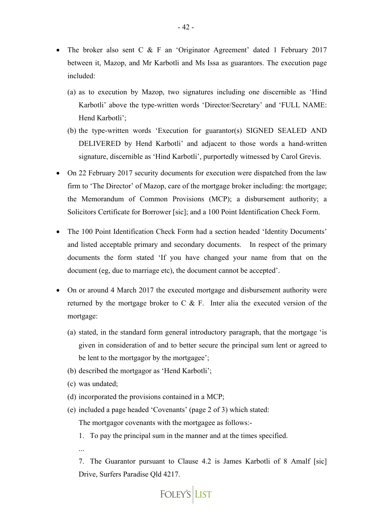- The broker also sent C & F an 'Originator Agreement' dated 1 February 2017 between it, Mazop, and Mr Karbotli and Ms Issa as guarantors. The execution page included:
	- (a) as to execution by Mazop, two signatures including one discernible as 'Hind Karbotli' above the type-written words 'Director/Secretary' and 'FULL NAME: Hend Karbotli';
	- (b) the type-written words 'Execution for guarantor(s) SIGNED SEALED AND DELIVERED by Hend Karbotli' and adjacent to those words a hand-written signature, discernible as 'Hind Karbotli', purportedly witnessed by Carol Grevis.
- On 22 February 2017 security documents for execution were dispatched from the law firm to 'The Director' of Mazop, care of the mortgage broker including: the mortgage; the Memorandum of Common Provisions (MCP); a disbursement authority; a Solicitors Certificate for Borrower [sic]; and a 100 Point Identification Check Form.
- The 100 Point Identification Check Form had a section headed 'Identity Documents' and listed acceptable primary and secondary documents. In respect of the primary documents the form stated 'If you have changed your name from that on the document (eg, due to marriage etc), the document cannot be accepted'.
- On or around 4 March 2017 the executed mortgage and disbursement authority were returned by the mortgage broker to C & F. Inter alia the executed version of the mortgage:
	- (a) stated, in the standard form general introductory paragraph, that the mortgage 'is given in consideration of and to better secure the principal sum lent or agreed to be lent to the mortgagor by the mortgagee';
	- (b) described the mortgagor as 'Hend Karbotli';
	- (c) was undated;
	- (d) incorporated the provisions contained in a MCP;
	- (e) included a page headed 'Covenants' (page 2 of 3) which stated:

The mortgagor covenants with the mortgagee as follows:-

- 1. To pay the principal sum in the manner and at the times specified.
- ...

7. The Guarantor pursuant to Clause 4.2 is James Karbotli of 8 Amalf [sic] Drive, Surfers Paradise Qld 4217.

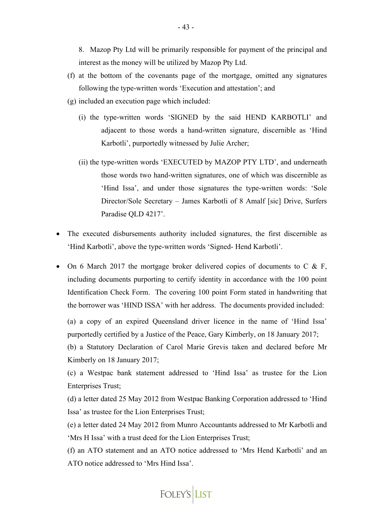8. Mazop Pty Ltd will be primarily responsible for payment of the principal and interest as the money will be utilized by Mazop Pty Ltd.

- (f) at the bottom of the covenants page of the mortgage, omitted any signatures following the type-written words 'Execution and attestation'; and
- (g) included an execution page which included:
	- (i) the type-written words 'SIGNED by the said HEND KARBOTLI' and adjacent to those words a hand-written signature, discernible as 'Hind Karbotli', purportedly witnessed by Julie Archer;
	- (ii) the type-written words 'EXECUTED by MAZOP PTY LTD', and underneath those words two hand-written signatures, one of which was discernible as 'Hind Issa', and under those signatures the type-written words: 'Sole Director/Sole Secretary – James Karbotli of 8 Amalf [sic] Drive, Surfers Paradise QLD 4217'.
- The executed disbursements authority included signatures, the first discernible as 'Hind Karbotli', above the type-written words 'Signed- Hend Karbotli'.
- On 6 March 2017 the mortgage broker delivered copies of documents to C  $&$  F, including documents purporting to certify identity in accordance with the 100 point Identification Check Form. The covering 100 point Form stated in handwriting that the borrower was 'HIND ISSA' with her address. The documents provided included:

(a) a copy of an expired Queensland driver licence in the name of 'Hind Issa' purportedly certified by a Justice of the Peace, Gary Kimberly, on 18 January 2017;

(b) a Statutory Declaration of Carol Marie Grevis taken and declared before Mr Kimberly on 18 January 2017;

(c) a Westpac bank statement addressed to 'Hind Issa' as trustee for the Lion Enterprises Trust;

(d) a letter dated 25 May 2012 from Westpac Banking Corporation addressed to 'Hind Issa' as trustee for the Lion Enterprises Trust;

(e) a letter dated 24 May 2012 from Munro Accountants addressed to Mr Karbotli and 'Mrs H Issa' with a trust deed for the Lion Enterprises Trust;

(f) an ATO statement and an ATO notice addressed to 'Mrs Hend Karbotli' and an ATO notice addressed to 'Mrs Hind Issa'.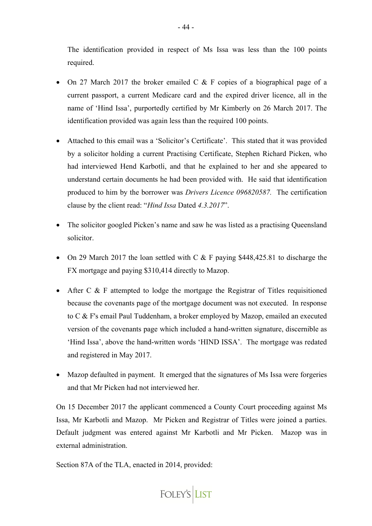The identification provided in respect of Ms Issa was less than the 100 points required.

- On 27 March 2017 the broker emailed C & F copies of a biographical page of a current passport, a current Medicare card and the expired driver licence, all in the name of 'Hind Issa', purportedly certified by Mr Kimberly on 26 March 2017. The identification provided was again less than the required 100 points.
- Attached to this email was a 'Solicitor's Certificate'. This stated that it was provided by a solicitor holding a current Practising Certificate, Stephen Richard Picken, who had interviewed Hend Karbotli, and that he explained to her and she appeared to understand certain documents he had been provided with. He said that identification produced to him by the borrower was *Drivers Licence 096820587.* The certification clause by the client read: "*Hind Issa* Dated *4.3.2017*".
- The solicitor googled Picken's name and saw he was listed as a practising Queensland solicitor.
- On 29 March 2017 the loan settled with C & F paying \$448,425.81 to discharge the FX mortgage and paying \$310,414 directly to Mazop.
- After C & F attempted to lodge the mortgage the Registrar of Titles requisitioned because the covenants page of the mortgage document was not executed. In response to C & F's email Paul Tuddenham, a broker employed by Mazop, emailed an executed version of the covenants page which included a hand-written signature, discernible as 'Hind Issa', above the hand-written words 'HIND ISSA'. The mortgage was redated and registered in May 2017.
- Mazop defaulted in payment. It emerged that the signatures of Ms Issa were forgeries and that Mr Picken had not interviewed her.

On 15 December 2017 the applicant commenced a County Court proceeding against Ms Issa, Mr Karbotli and Mazop. Mr Picken and Registrar of Titles were joined a parties. Default judgment was entered against Mr Karbotli and Mr Picken. Mazop was in external administration.

Section 87A of the TLA, enacted in 2014, provided:

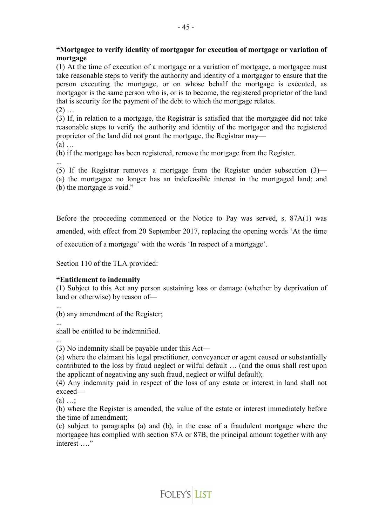# **"Mortgagee to verify identity of mortgagor for execution of mortgage or variation of mortgage**

(1) At the time of execution of a mortgage or a variation of mortgage, a mortgagee must take reasonable steps to verify the authority and identity of a mortgagor to ensure that the person executing the mortgage, or on whose behalf the mortgage is executed, as mortgagor is the same person who is, or is to become, the registered proprietor of the land that is security for the payment of the debt to which the mortgage relates.  $(2)$  ...

(3) If, in relation to a mortgage, the Registrar is satisfied that the mortgagee did not take reasonable steps to verify the authority and identity of the mortgagor and the registered proprietor of the land did not grant the mortgage, the Registrar may— (a) …

(b) if the mortgage has been registered, remove the mortgage from the Register.

... (5) If the Registrar removes a mortgage from the Register under subsection (3)— (a) the mortgagee no longer has an indefeasible interest in the mortgaged land; and (b) the mortgage is void."

Before the proceeding commenced or the Notice to Pay was served, s. 87A(1) was amended, with effect from 20 September 2017, replacing the opening words 'At the time of execution of a mortgage' with the words 'In respect of a mortgage'.

Section 110 of the TLA provided:

## **"Entitlement to indemnity**

(1) Subject to this Act any person sustaining loss or damage (whether by deprivation of land or otherwise) by reason of—

... (b) any amendment of the Register;

...

shall be entitled to be indemnified.

... (3) No indemnity shall be payable under this Act—

(a) where the claimant his legal practitioner, conveyancer or agent caused or substantially contributed to the loss by fraud neglect or wilful default … (and the onus shall rest upon the applicant of negativing any such fraud, neglect or wilful default);

(4) Any indemnity paid in respect of the loss of any estate or interest in land shall not exceed—

 $(a) \dots$ 

(b) where the Register is amended, the value of the estate or interest immediately before the time of amendment;

(c) subject to paragraphs (a) and (b), in the case of a fraudulent mortgage where the mortgagee has complied with section 87A or 87B, the principal amount together with any interest ...."

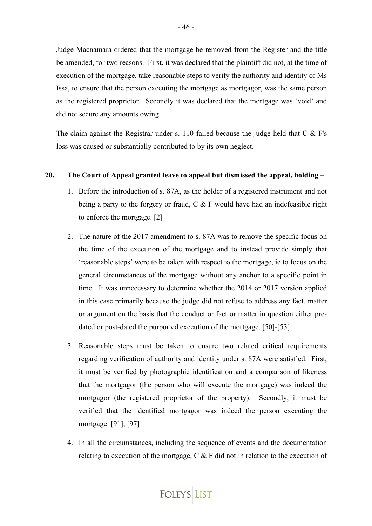Judge Macnamara ordered that the mortgage be removed from the Register and the title be amended, for two reasons. First, it was declared that the plaintiff did not, at the time of execution of the mortgage, take reasonable steps to verify the authority and identity of Ms Issa, to ensure that the person executing the mortgage as mortgagor, was the same person as the registered proprietor. Secondly it was declared that the mortgage was 'void' and did not secure any amounts owing.

The claim against the Registrar under s. 110 failed because the judge held that C & F's loss was caused or substantially contributed to by its own neglect.

#### **20. The Court of Appeal granted leave to appeal but dismissed the appeal, holding –**

- 1. Before the introduction of s. 87A, as the holder of a registered instrument and not being a party to the forgery or fraud,  $C \& F$  would have had an indefeasible right to enforce the mortgage. [2]
- 2. The nature of the 2017 amendment to s. 87A was to remove the specific focus on the time of the execution of the mortgage and to instead provide simply that 'reasonable steps' were to be taken with respect to the mortgage, ie to focus on the general circumstances of the mortgage without any anchor to a specific point in time. It was unnecessary to determine whether the 2014 or 2017 version applied in this case primarily because the judge did not refuse to address any fact, matter or argument on the basis that the conduct or fact or matter in question either predated or post-dated the purported execution of the mortgage. [50]-[53]
- 3. Reasonable steps must be taken to ensure two related critical requirements regarding verification of authority and identity under s. 87A were satisfied. First, it must be verified by photographic identification and a comparison of likeness that the mortgagor (the person who will execute the mortgage) was indeed the mortgagor (the registered proprietor of the property). Secondly, it must be verified that the identified mortgagor was indeed the person executing the mortgage. [91], [97]
- 4. In all the circumstances, including the sequence of events and the documentation relating to execution of the mortgage, C & F did not in relation to the execution of

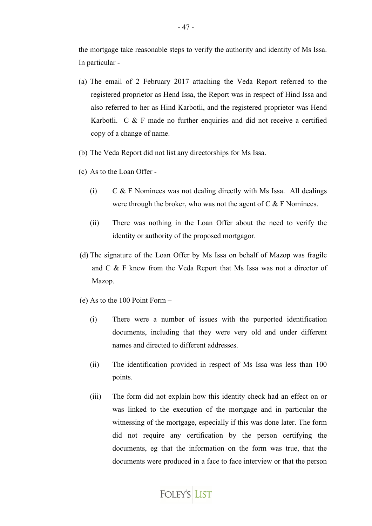the mortgage take reasonable steps to verify the authority and identity of Ms Issa. In particular -

- (a) The email of 2 February 2017 attaching the Veda Report referred to the registered proprietor as Hend Issa, the Report was in respect of Hind Issa and also referred to her as Hind Karbotli, and the registered proprietor was Hend Karbotli. C & F made no further enquiries and did not receive a certified copy of a change of name.
- (b) The Veda Report did not list any directorships for Ms Issa.
- (c) As to the Loan Offer
	- (i)  $C & F$  Nominees was not dealing directly with Ms Issa. All dealings were through the broker, who was not the agent of  $C & F$  Nominees.
	- (ii) There was nothing in the Loan Offer about the need to verify the identity or authority of the proposed mortgagor.
- (d) The signature of the Loan Offer by Ms Issa on behalf of Mazop was fragile and C & F knew from the Veda Report that Ms Issa was not a director of Mazop.
- (e) As to the 100 Point Form
	- (i) There were a number of issues with the purported identification documents, including that they were very old and under different names and directed to different addresses.
	- (ii) The identification provided in respect of Ms Issa was less than 100 points.
	- (iii) The form did not explain how this identity check had an effect on or was linked to the execution of the mortgage and in particular the witnessing of the mortgage, especially if this was done later. The form did not require any certification by the person certifying the documents, eg that the information on the form was true, that the documents were produced in a face to face interview or that the person

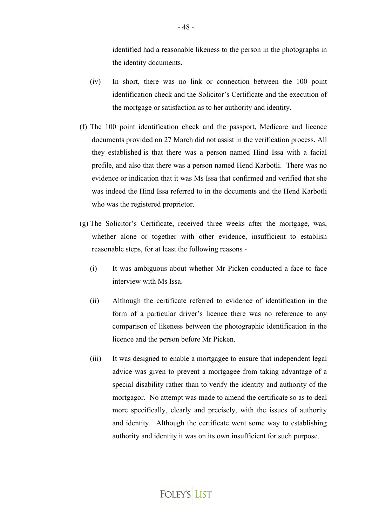identified had a reasonable likeness to the person in the photographs in the identity documents.

- (iv) In short, there was no link or connection between the 100 point identification check and the Solicitor's Certificate and the execution of the mortgage or satisfaction as to her authority and identity.
- (f) The 100 point identification check and the passport, Medicare and licence documents provided on 27 March did not assist in the verification process. All they established is that there was a person named Hind Issa with a facial profile, and also that there was a person named Hend Karbotli. There was no evidence or indication that it was Ms Issa that confirmed and verified that she was indeed the Hind Issa referred to in the documents and the Hend Karbotli who was the registered proprietor.
- (g) The Solicitor's Certificate, received three weeks after the mortgage, was, whether alone or together with other evidence, insufficient to establish reasonable steps, for at least the following reasons -
	- (i) It was ambiguous about whether Mr Picken conducted a face to face interview with Ms Issa.
	- (ii) Although the certificate referred to evidence of identification in the form of a particular driver's licence there was no reference to any comparison of likeness between the photographic identification in the licence and the person before Mr Picken.
	- (iii) It was designed to enable a mortgagee to ensure that independent legal advice was given to prevent a mortgagee from taking advantage of a special disability rather than to verify the identity and authority of the mortgagor. No attempt was made to amend the certificate so as to deal more specifically, clearly and precisely, with the issues of authority and identity. Although the certificate went some way to establishing authority and identity it was on its own insufficient for such purpose.

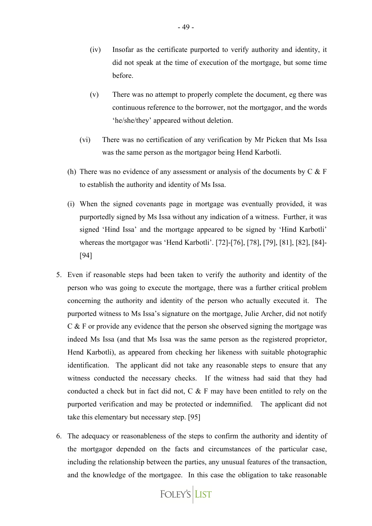- (iv) Insofar as the certificate purported to verify authority and identity, it did not speak at the time of execution of the mortgage, but some time before.
- (v) There was no attempt to properly complete the document, eg there was continuous reference to the borrower, not the mortgagor, and the words 'he/she/they' appeared without deletion.
- (vi) There was no certification of any verification by Mr Picken that Ms Issa was the same person as the mortgagor being Hend Karbotli.
- (h) There was no evidence of any assessment or analysis of the documents by  $C \& F$ to establish the authority and identity of Ms Issa.
- (i) When the signed covenants page in mortgage was eventually provided, it was purportedly signed by Ms Issa without any indication of a witness. Further, it was signed 'Hind Issa' and the mortgage appeared to be signed by 'Hind Karbotli' whereas the mortgagor was 'Hend Karbotli'. [72]-[76], [78], [79], [81], [82], [84]- [94]
- 5. Even if reasonable steps had been taken to verify the authority and identity of the person who was going to execute the mortgage, there was a further critical problem concerning the authority and identity of the person who actually executed it. The purported witness to Ms Issa's signature on the mortgage, Julie Archer, did not notify C & F or provide any evidence that the person she observed signing the mortgage was indeed Ms Issa (and that Ms Issa was the same person as the registered proprietor, Hend Karbotli), as appeared from checking her likeness with suitable photographic identification. The applicant did not take any reasonable steps to ensure that any witness conducted the necessary checks. If the witness had said that they had conducted a check but in fact did not, C & F may have been entitled to rely on the purported verification and may be protected or indemnified. The applicant did not take this elementary but necessary step. [95]
- 6. The adequacy or reasonableness of the steps to confirm the authority and identity of the mortgagor depended on the facts and circumstances of the particular case, including the relationship between the parties, any unusual features of the transaction, and the knowledge of the mortgagee. In this case the obligation to take reasonable

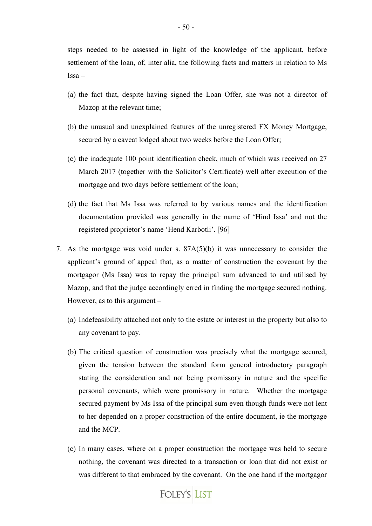steps needed to be assessed in light of the knowledge of the applicant, before settlement of the loan, of, inter alia, the following facts and matters in relation to Ms Issa –

- (a) the fact that, despite having signed the Loan Offer, she was not a director of Mazop at the relevant time;
- (b) the unusual and unexplained features of the unregistered FX Money Mortgage, secured by a caveat lodged about two weeks before the Loan Offer;
- (c) the inadequate 100 point identification check, much of which was received on 27 March 2017 (together with the Solicitor's Certificate) well after execution of the mortgage and two days before settlement of the loan;
- (d) the fact that Ms Issa was referred to by various names and the identification documentation provided was generally in the name of 'Hind Issa' and not the registered proprietor's name 'Hend Karbotli'. [96]
- 7. As the mortgage was void under s. 87A(5)(b) it was unnecessary to consider the applicant's ground of appeal that, as a matter of construction the covenant by the mortgagor (Ms Issa) was to repay the principal sum advanced to and utilised by Mazop, and that the judge accordingly erred in finding the mortgage secured nothing. However, as to this argument –
	- (a) Indefeasibility attached not only to the estate or interest in the property but also to any covenant to pay.
	- (b) The critical question of construction was precisely what the mortgage secured, given the tension between the standard form general introductory paragraph stating the consideration and not being promissory in nature and the specific personal covenants, which were promissory in nature. Whether the mortgage secured payment by Ms Issa of the principal sum even though funds were not lent to her depended on a proper construction of the entire document, ie the mortgage and the MCP.
	- (c) In many cases, where on a proper construction the mortgage was held to secure nothing, the covenant was directed to a transaction or loan that did not exist or was different to that embraced by the covenant. On the one hand if the mortgagor

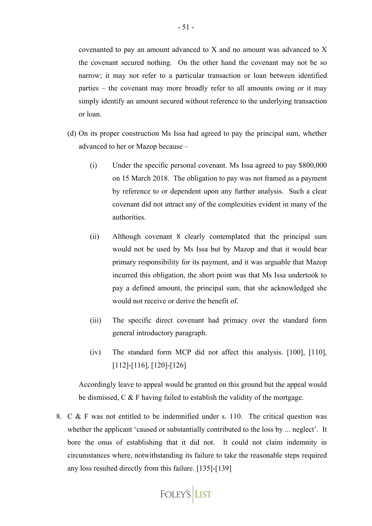covenanted to pay an amount advanced to X and no amount was advanced to X the covenant secured nothing. On the other hand the covenant may not be so narrow; it may not refer to a particular transaction or loan between identified parties – the covenant may more broadly refer to all amounts owing or it may simply identify an amount secured without reference to the underlying transaction or loan.

- (d) On its proper construction Ms Issa had agreed to pay the principal sum, whether advanced to her or Mazop because –
	- (i) Under the specific personal covenant. Ms Issa agreed to pay \$800,000 on 15 March 2018. The obligation to pay was not framed as a payment by reference to or dependent upon any further analysis. Such a clear covenant did not attract any of the complexities evident in many of the authorities.
	- (ii) Although covenant 8 clearly contemplated that the principal sum would not be used by Ms Issa but by Mazop and that it would bear primary responsibility for its payment, and it was arguable that Mazop incurred this obligation, the short point was that Ms Issa undertook to pay a defined amount, the principal sum, that she acknowledged she would not receive or derive the benefit of.
	- (iii) The specific direct covenant had primacy over the standard form general introductory paragraph.
	- (iv) The standard form MCP did not affect this analysis. [100], [110], [112]-[116], [120]-[126]

Accordingly leave to appeal would be granted on this ground but the appeal would be dismissed, C & F having failed to establish the validity of the mortgage.

8. C & F was not entitled to be indemnified under s. 110. The critical question was whether the applicant 'caused or substantially contributed to the loss by ... neglect'. It bore the onus of establishing that it did not. It could not claim indemnity in circumstances where, notwithstanding its failure to take the reasonable steps required any loss resulted directly from this failure. [135]-[139]